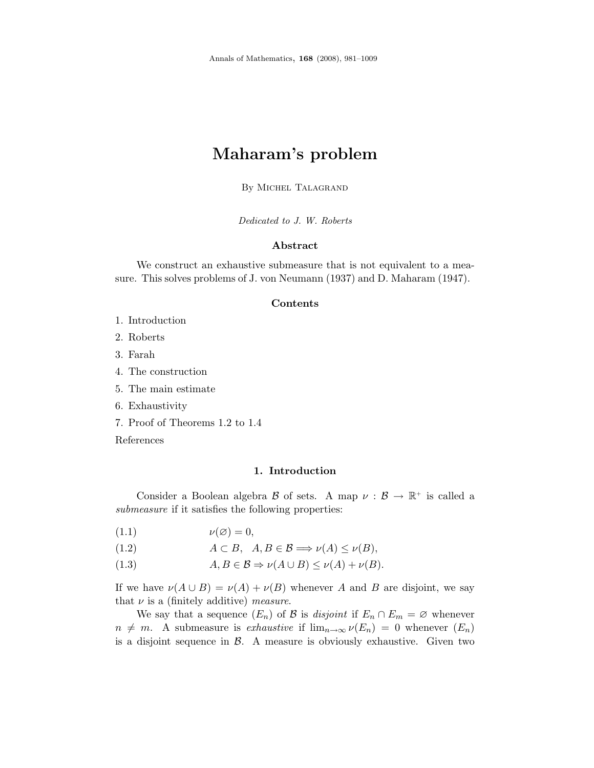# Maharam's problem

By Michel Talagrand

Dedicated to J. W. Roberts

# Abstract

We construct an exhaustive submeasure that is not equivalent to a measure. This solves problems of J. von Neumann (1937) and D. Maharam (1947).

# Contents

- 1. Introduction
- 2. Roberts
- 3. Farah
- 4. The construction
- 5. The main estimate
- 6. Exhaustivity
- 7. Proof of Theorems 1.2 to 1.4

References

## 1. Introduction

Consider a Boolean algebra  $\mathcal B$  of sets. A map  $\nu : \mathcal B \to \mathbb R^+$  is called a submeasure if it satisfies the following properties:

- (1.1)  $\nu(\emptyset) = 0,$
- (1.2)  $A \subset B$ ,  $A, B \in \mathcal{B} \Longrightarrow \nu(A) \leq \nu(B)$ ,
- (1.3)  $A, B \in \mathcal{B} \Rightarrow \nu(A \cup B) \leq \nu(A) + \nu(B).$

If we have  $\nu(A \cup B) = \nu(A) + \nu(B)$  whenever A and B are disjoint, we say that  $\nu$  is a (finitely additive) measure.

We say that a sequence  $(E_n)$  of B is *disjoint* if  $E_n \cap E_m = \emptyset$  whenever  $n \neq m$ . A submeasure is exhaustive if  $\lim_{n\to\infty} \nu(E_n) = 0$  whenever  $(E_n)$ is a disjoint sequence in  $\beta$ . A measure is obviously exhaustive. Given two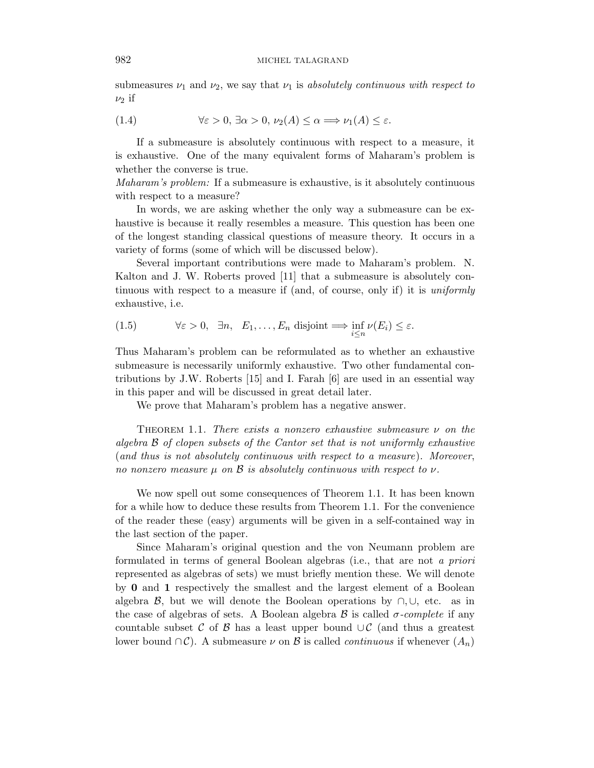submeasures  $\nu_1$  and  $\nu_2$ , we say that  $\nu_1$  is absolutely continuous with respect to  $\nu_2$  if

(1.4) 
$$
\forall \varepsilon > 0, \exists \alpha > 0, \nu_2(A) \leq \alpha \Longrightarrow \nu_1(A) \leq \varepsilon.
$$

If a submeasure is absolutely continuous with respect to a measure, it is exhaustive. One of the many equivalent forms of Maharam's problem is whether the converse is true.

Maharam's problem: If a submeasure is exhaustive, is it absolutely continuous with respect to a measure?

In words, we are asking whether the only way a submeasure can be exhaustive is because it really resembles a measure. This question has been one of the longest standing classical questions of measure theory. It occurs in a variety of forms (some of which will be discussed below).

Several important contributions were made to Maharam's problem. N. Kalton and J. W. Roberts proved [11] that a submeasure is absolutely continuous with respect to a measure if (and, of course, only if) it is *uniformly* exhaustive, i.e.

(1.5) 
$$
\forall \varepsilon > 0, \ \exists n, \ E_1, \dots, E_n \ \text{disjoint} \Longrightarrow \inf_{i \leq n} \nu(E_i) \leq \varepsilon.
$$

Thus Maharam's problem can be reformulated as to whether an exhaustive submeasure is necessarily uniformly exhaustive. Two other fundamental contributions by J.W. Roberts [15] and I. Farah [6] are used in an essential way in this paper and will be discussed in great detail later.

We prove that Maharam's problem has a negative answer.

THEOREM 1.1. There exists a nonzero exhaustive submeasure  $\nu$  on the algebra B of clopen subsets of the Cantor set that is not uniformly exhaustive (and thus is not absolutely continuous with respect to a measure). Moreover, no nonzero measure  $\mu$  on  $\beta$  is absolutely continuous with respect to  $\nu$ .

We now spell out some consequences of Theorem 1.1. It has been known for a while how to deduce these results from Theorem 1.1. For the convenience of the reader these (easy) arguments will be given in a self-contained way in the last section of the paper.

Since Maharam's original question and the von Neumann problem are formulated in terms of general Boolean algebras (i.e., that are not a priori represented as algebras of sets) we must briefly mention these. We will denote by 0 and 1 respectively the smallest and the largest element of a Boolean algebra  $\beta$ , but we will denote the Boolean operations by  $\cap$ ,  $\cup$ , etc. as in the case of algebras of sets. A Boolean algebra  $\beta$  is called  $\sigma$ -complete if any countable subset C of B has a least upper bound  $\cup \mathcal{C}$  (and thus a greatest lower bound ∩ $\mathcal{C}$ ). A submeasure  $\nu$  on  $\mathcal{B}$  is called *continuous* if whenever  $(A_n)$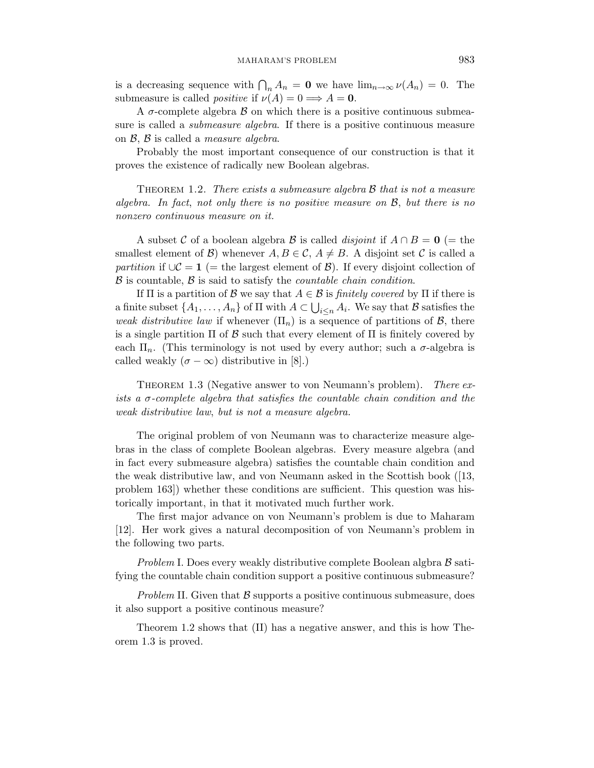is a decreasing sequence with  $\bigcap_n A_n = \mathbf{0}$  we have  $\lim_{n \to \infty} \nu(A_n) = 0$ . The submeasure is called *positive* if  $\nu(A) = 0 \Longrightarrow A = 0$ .

A  $\sigma$ -complete algebra  $\beta$  on which there is a positive continuous submeasure is called a *submeasure algebra*. If there is a positive continuous measure on  $\mathcal{B}, \mathcal{B}$  is called a *measure algebra*.

Probably the most important consequence of our construction is that it proves the existence of radically new Boolean algebras.

THEOREM 1.2. There exists a submeasure algebra  $\beta$  that is not a measure algebra. In fact, not only there is no positive measure on  $\mathcal{B}$ , but there is no nonzero continuous measure on it.

A subset C of a boolean algebra B is called *disjoint* if  $A \cap B = 0$  (= the smallest element of B) whenever  $A, B \in \mathcal{C}, A \neq B$ . A disjoint set C is called a partition if  $\cup \mathcal{C} = 1$  (= the largest element of  $\mathcal{B}$ ). If every disjoint collection of  $\beta$  is countable,  $\beta$  is said to satisfy the *countable chain condition*.

If  $\Pi$  is a partition of  $\mathcal B$  we say that  $A \in \mathcal B$  is *finitely covered* by  $\Pi$  if there is a finite subset  $\{A_1, \ldots, A_n\}$  of  $\Pi$  with  $A \subset \bigcup_{i \leq n} A_i$ . We say that  $B$  satisfies the weak distributive law if whenever  $(\Pi_n)$  is a sequence of partitions of  $\mathcal{B}$ , there is a single partition  $\Pi$  of  $\beta$  such that every element of  $\Pi$  is finitely covered by each  $\Pi_n$ . (This terminology is not used by every author; such a  $\sigma$ -algebra is called weakly  $(\sigma - \infty)$  distributive in [8].)

THEOREM 1.3 (Negative answer to von Neumann's problem). There exists a  $\sigma$ -complete algebra that satisfies the countable chain condition and the weak distributive law, but is not a measure algebra.

The original problem of von Neumann was to characterize measure algebras in the class of complete Boolean algebras. Every measure algebra (and in fact every submeasure algebra) satisfies the countable chain condition and the weak distributive law, and von Neumann asked in the Scottish book ([13, problem 163]) whether these conditions are sufficient. This question was historically important, in that it motivated much further work.

The first major advance on von Neumann's problem is due to Maharam [12]. Her work gives a natural decomposition of von Neumann's problem in the following two parts.

Problem I. Does every weakly distributive complete Boolean algbra  $\beta$  satifying the countable chain condition support a positive continuous submeasure?

Problem II. Given that  $\beta$  supports a positive continuous submeasure, does it also support a positive continous measure?

Theorem 1.2 shows that (II) has a negative answer, and this is how Theorem 1.3 is proved.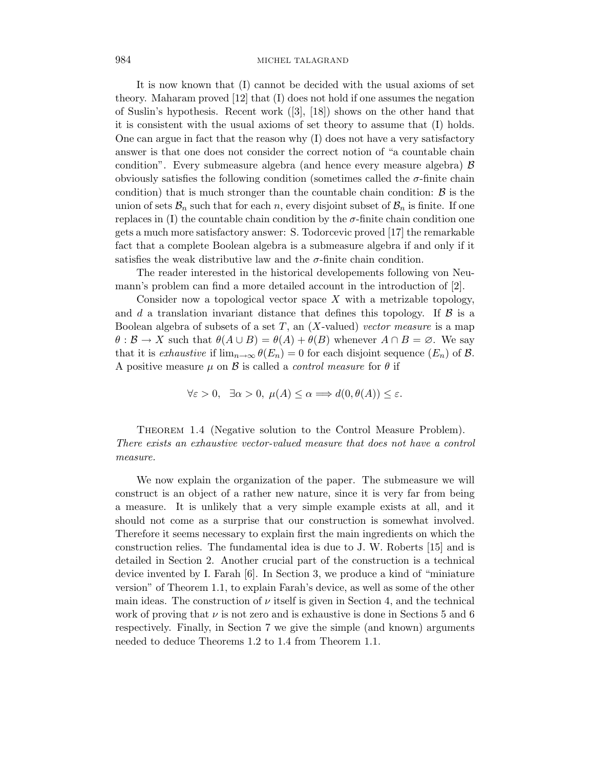It is now known that (I) cannot be decided with the usual axioms of set theory. Maharam proved [12] that (I) does not hold if one assumes the negation of Suslin's hypothesis. Recent work ([3], [18]) shows on the other hand that it is consistent with the usual axioms of set theory to assume that (I) holds. One can argue in fact that the reason why (I) does not have a very satisfactory answer is that one does not consider the correct notion of "a countable chain condition". Every submeasure algebra (and hence every measure algebra)  $\beta$ obviously satisfies the following condition (sometimes called the  $\sigma$ -finite chain condition) that is much stronger than the countable chain condition:  $\beta$  is the union of sets  $\mathcal{B}_n$  such that for each n, every disjoint subset of  $\mathcal{B}_n$  is finite. If one replaces in (I) the countable chain condition by the  $\sigma$ -finite chain condition one gets a much more satisfactory answer: S. Todorcevic proved [17] the remarkable fact that a complete Boolean algebra is a submeasure algebra if and only if it satisfies the weak distributive law and the  $\sigma$ -finite chain condition.

The reader interested in the historical developements following von Neumann's problem can find a more detailed account in the introduction of [2].

Consider now a topological vector space  $X$  with a metrizable topology, and d a translation invariant distance that defines this topology. If  $\beta$  is a Boolean algebra of subsets of a set  $T$ , an  $(X$ -valued) vector measure is a map  $\theta : \mathcal{B} \to X$  such that  $\theta(A \cup B) = \theta(A) + \theta(B)$  whenever  $A \cap B = \emptyset$ . We say that it is exhaustive if  $\lim_{n\to\infty} \theta(E_n) = 0$  for each disjoint sequence  $(E_n)$  of  $\mathcal{B}$ . A positive measure  $\mu$  on  $\beta$  is called a *control measure* for  $\theta$  if

$$
\forall \varepsilon > 0, \ \exists \alpha > 0, \ \mu(A) \le \alpha \Longrightarrow d(0, \theta(A)) \le \varepsilon.
$$

THEOREM 1.4 (Negative solution to the Control Measure Problem). There exists an exhaustive vector-valued measure that does not have a control measure.

We now explain the organization of the paper. The submeasure we will construct is an object of a rather new nature, since it is very far from being a measure. It is unlikely that a very simple example exists at all, and it should not come as a surprise that our construction is somewhat involved. Therefore it seems necessary to explain first the main ingredients on which the construction relies. The fundamental idea is due to J. W. Roberts [15] and is detailed in Section 2. Another crucial part of the construction is a technical device invented by I. Farah [6]. In Section 3, we produce a kind of "miniature version" of Theorem 1.1, to explain Farah's device, as well as some of the other main ideas. The construction of  $\nu$  itself is given in Section 4, and the technical work of proving that  $\nu$  is not zero and is exhaustive is done in Sections 5 and 6 respectively. Finally, in Section 7 we give the simple (and known) arguments needed to deduce Theorems 1.2 to 1.4 from Theorem 1.1.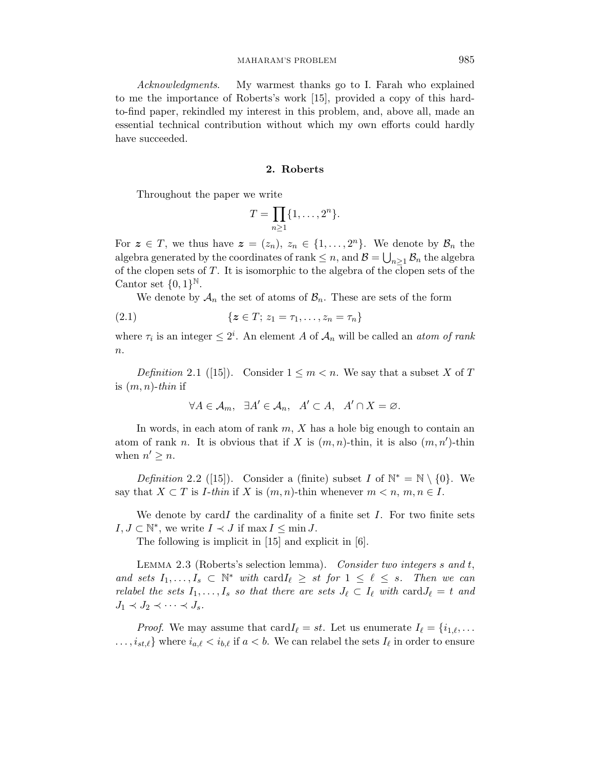Acknowledgments. My warmest thanks go to I. Farah who explained to me the importance of Roberts's work [15], provided a copy of this hardto-find paper, rekindled my interest in this problem, and, above all, made an essential technical contribution without which my own efforts could hardly have succeeded.

#### 2. Roberts

Throughout the paper we write

$$
T=\prod_{n\geq 1}\{1,\ldots,2^n\}.
$$

For  $z \in T$ , we thus have  $z = (z_n)$ ,  $z_n \in \{1, ..., 2^n\}$ . We denote by  $\mathcal{B}_n$  the algebra generated by the coordinates of rank  $\leq n$ , and  $\mathcal{B} = \bigcup_{n \geq 1} \mathcal{B}_n$  the algebra of the clopen sets of  $T$ . It is isomorphic to the algebra of the clopen sets of the Cantor set  $\{0,1\}^{\mathbb{N}}$ .

We denote by  $A_n$  the set of atoms of  $B_n$ . These are sets of the form

(2.1) 
$$
\{z \in T; z_1 = \tau_1, \ldots, z_n = \tau_n\}
$$

where  $\tau_i$  is an integer  $\leq 2^i$ . An element A of  $\mathcal{A}_n$  will be called an *atom of rank*  $n$ .

Definition 2.1 ([15]). Consider  $1 \leq m < n$ . We say that a subset X of T is  $(m, n)$ -thin if

$$
\forall A \in \mathcal{A}_m, \quad \exists A' \in \mathcal{A}_n, \quad A' \subset A, \quad A' \cap X = \varnothing.
$$

In words, in each atom of rank  $m, X$  has a hole big enough to contain an atom of rank n. It is obvious that if X is  $(m, n)$ -thin, it is also  $(m, n')$ -thin when  $n' \geq n$ .

Definition 2.2 ([15]). Consider a (finite) subset I of  $\mathbb{N}^* = \mathbb{N} \setminus \{0\}$ . We say that  $X \subset T$  is *I*-thin if X is  $(m, n)$ -thin whenever  $m < n, m, n \in I$ .

We denote by cardI the cardinality of a finite set  $I$ . For two finite sets  $I, J \subset \mathbb{N}^*$ , we write  $I \prec J$  if  $\max I \leq \min J$ .

The following is implicit in [15] and explicit in [6].

LEMMA 2.3 (Roberts's selection lemma). Consider two integers s and t, and sets  $I_1, \ldots, I_s \subset \mathbb{N}^*$  with  $\text{card } I_\ell \geq st$  for  $1 \leq \ell \leq s$ . Then we can relabel the sets  $I_1, \ldots, I_s$  so that there are sets  $J_\ell \subset I_\ell$  with card $J_\ell = t$  and  $J_1 \prec J_2 \prec \cdots \prec J_s.$ 

*Proof.* We may assume that  $\text{card } I_\ell = st$ . Let us enumerate  $I_\ell = \{i_{1,\ell}, \ldots \}$  $\ldots, i_{st,\ell}$  where  $i_{a,\ell} < i_{b,\ell}$  if  $a < b$ . We can relabel the sets  $I_{\ell}$  in order to ensure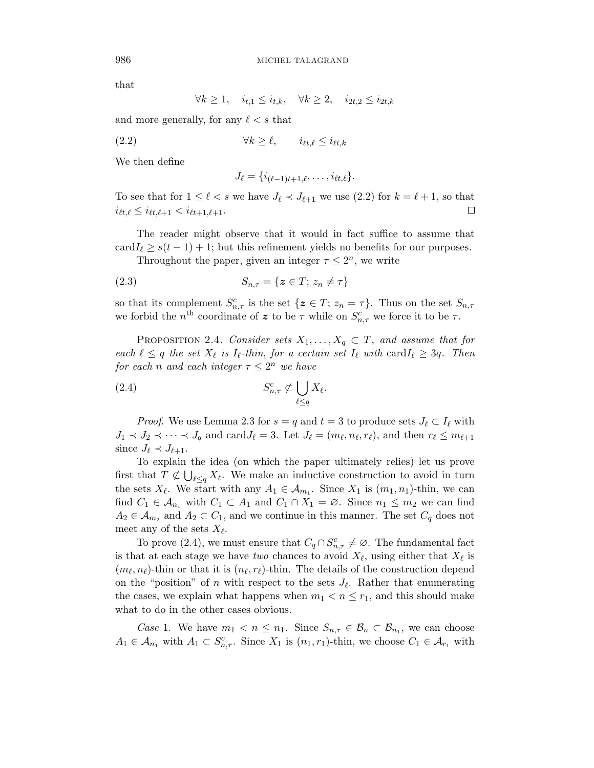that

$$
\forall k \ge 1, \quad i_{t,1} \le i_{t,k}, \quad \forall k \ge 2, \quad i_{2t,2} \le i_{2t,k}
$$

and more generally, for any  $\ell < s$  that

$$
(2.2) \t\t\t \forall k \ge \ell, \t\t i_{\ell t, \ell} \le i_{\ell t, k}
$$

We then define

$$
J_{\ell} = \{i_{(\ell-1)t+1,\ell},\ldots,i_{\ell t,\ell}\}.
$$

To see that for  $1 \leq \ell < s$  we have  $J_{\ell} \prec J_{\ell+1}$  we use (2.2) for  $k = \ell + 1$ , so that  $i_{\ell t,\ell} \leq i_{\ell t,\ell+1} < i_{\ell t+1,\ell+1}.$  $\Box$ 

The reader might observe that it would in fact suffice to assume that  $\text{card}_\ell \geq s(t-1) + 1$ ; but this refinement yields no benefits for our purposes.

Throughout the paper, given an integer  $\tau \leq 2^n$ , we write

$$
(2.3) \tS_{n,\tau} = \{ \mathbf{z} \in T; \, z_n \neq \tau \}
$$

so that its complement  $S^c_{n,\tau}$  is the set  $\{z \in T; z_n = \tau\}$ . Thus on the set  $S_{n,\tau}$ we forbid the n<sup>th</sup> coordinate of z to be  $\tau$  while on  $S_{n,\tau}^c$  we force it to be  $\tau$ .

PROPOSITION 2.4. Consider sets  $X_1, \ldots, X_q \subset T$ , and assume that for each  $\ell \leq q$  the set  $X_{\ell}$  is  $I_{\ell}$ -thin, for a certain set  $I_{\ell}$  with  $\text{card}I_{\ell} \geq 3q$ . Then for each n and each integer  $\tau \leq 2^n$  we have

$$
(2.4) \t\t S_{n,\tau}^c \not\subset \bigcup_{\ell \leq q} X_{\ell}.
$$

*Proof.* We use Lemma 2.3 for  $s = q$  and  $t = 3$  to produce sets  $J_\ell \subset I_\ell$  with  $J_1 \prec J_2 \prec \cdots \prec J_q$  and card  $J_\ell = 3$ . Let  $J_\ell = (m_\ell, n_\ell, r_\ell)$ , and then  $r_\ell \leq m_{\ell+1}$ since  $J_{\ell} \prec J_{\ell+1}$ .

To explain the idea (on which the paper ultimately relies) let us prove first that  $T \not\subset \bigcup_{\ell \leq q} X_{\ell}$ . We make an inductive construction to avoid in turn the sets  $X_{\ell}$ . We start with any  $A_1 \in \mathcal{A}_{m_1}$ . Since  $X_1$  is  $(m_1, n_1)$ -thin, we can find  $C_1 \in \mathcal{A}_{n_1}$  with  $C_1 \subset A_1$  and  $C_1 \cap X_1 = \emptyset$ . Since  $n_1 \leq m_2$  we can find  $A_2 \in \mathcal{A}_{m_2}$  and  $A_2 \subset C_1$ , and we continue in this manner. The set  $C_q$  does not meet any of the sets  $X_{\ell}$ .

To prove (2.4), we must ensure that  $C_q \cap S^c_{n,\tau} \neq \emptyset$ . The fundamental fact is that at each stage we have two chances to avoid  $X_{\ell}$ , using either that  $X_{\ell}$  is  $(m_\ell, n_\ell)$ -thin or that it is  $(n_\ell, r_\ell)$ -thin. The details of the construction depend on the "position" of n with respect to the sets  $J_{\ell}$ . Rather that enumerating the cases, we explain what happens when  $m_1 < n \leq r_1$ , and this should make what to do in the other cases obvious.

Case 1. We have  $m_1 < n \leq n_1$ . Since  $S_{n,\tau} \in \mathcal{B}_n \subset \mathcal{B}_{n_1}$ , we can choose  $A_1 \in \mathcal{A}_{n_1}$  with  $A_1 \subset S_{n,\tau}^c$ . Since  $X_1$  is  $(n_1,r_1)$ -thin, we choose  $C_1 \in \mathcal{A}_{r_1}$  with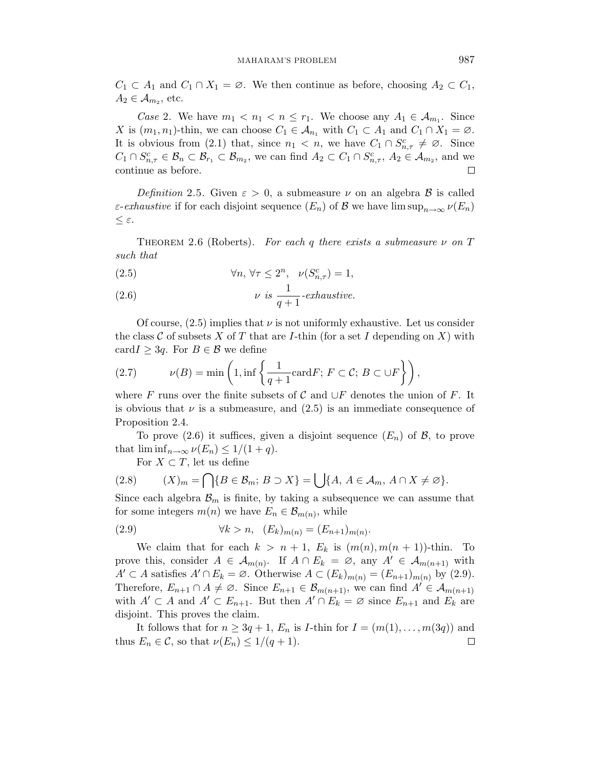$C_1 \subset A_1$  and  $C_1 \cap X_1 = \emptyset$ . We then continue as before, choosing  $A_2 \subset C_1$ ,  $A_2 \in \mathcal{A}_{m_2}$ , etc.

Case 2. We have  $m_1 < n_1 < n \le r_1$ . We choose any  $A_1 \in \mathcal{A}_{m_1}$ . Since X is  $(m_1, n_1)$ -thin, we can choose  $C_1 \in \mathcal{A}_{n_1}$  with  $C_1 \subset A_1$  and  $C_1 \cap X_1 = \emptyset$ . It is obvious from (2.1) that, since  $n_1 < n$ , we have  $C_1 \cap S_{n,\tau}^c \neq \emptyset$ . Since  $C_1 \cap S_{n,\tau}^c \in \mathcal{B}_n \subset \mathcal{B}_{r_1} \subset \mathcal{B}_{m_2}$ , we can find  $A_2 \subset C_1 \cap S_{n,\tau}^c$ ,  $A_2 \in \mathcal{A}_{m_2}$ , and we continue as before.  $\Box$ 

Definition 2.5. Given  $\varepsilon > 0$ , a submeasure  $\nu$  on an algebra  $\beta$  is called *ε-exhaustive* if for each disjoint sequence  $(E_n)$  of B we have  $\limsup_{n\to\infty} \nu(E_n)$ ≤ ε.

THEOREM 2.6 (Roberts). For each q there exists a submeasure  $\nu$  on T such that

(2.5) 
$$
\forall n, \forall \tau \leq 2^n, \quad \nu(S_{n,\tau}^c) = 1,
$$

(2.6) 
$$
\nu \t is \frac{1}{q+1} \t-exhaustive.
$$

Of course,  $(2.5)$  implies that  $\nu$  is not uniformly exhaustive. Let us consider the class  $\mathcal C$  of subsets  $X$  of  $T$  that are *I*-thin (for a set  $I$  depending on  $X$ ) with card $I \geq 3q$ . For  $B \in \mathcal{B}$  we define

(2.7) 
$$
\nu(B) = \min\left(1, \inf\left\{\frac{1}{q+1}\mathrm{card} F; F \subset \mathcal{C}; B \subset \cup F\right\}\right),
$$

where F runs over the finite subsets of C and  $\cup F$  denotes the union of F. It is obvious that  $\nu$  is a submeasure, and  $(2.5)$  is an immediate consequence of Proposition 2.4.

To prove (2.6) it suffices, given a disjoint sequence  $(E_n)$  of  $\mathcal{B}$ , to prove that  $\liminf_{n\to\infty}\nu(E_n)\leq 1/(1+q)$ .

For  $X \subset T$ , let us define

$$
(2.8) \qquad (X)_m = \bigcap \{ B \in \mathcal{B}_m; \ B \supset X \} = \bigcup \{ A, A \in \mathcal{A}_m, A \cap X \neq \emptyset \}.
$$

Since each algebra  $\mathcal{B}_m$  is finite, by taking a subsequence we can assume that for some integers  $m(n)$  we have  $E_n \in \mathcal{B}_{m(n)}$ , while

(2.9) 
$$
\forall k > n, \ \ (E_k)_{m(n)} = (E_{n+1})_{m(n)}.
$$

We claim that for each  $k > n+1$ ,  $E_k$  is  $(m(n), m(n + 1))$ -thin. To prove this, consider  $A \in \mathcal{A}_{m(n)}$ . If  $A \cap E_k = \emptyset$ , any  $A' \in \mathcal{A}_{m(n+1)}$  with  $A' \subset A$  satisfies  $A' \cap E_k = \emptyset$ . Otherwise  $A \subset (E_k)_{m(n)} = (E_{n+1})_{m(n)}$  by (2.9). Therefore,  $E_{n+1} \cap A \neq \emptyset$ . Since  $E_{n+1} \in \mathcal{B}_{m(n+1)}$ , we can find  $A' \in \mathcal{A}_{m(n+1)}$ with  $A' \subset A$  and  $A' \subset E_{n+1}$ . But then  $A' \cap E_k = \emptyset$  since  $E_{n+1}$  and  $E_k$  are disjoint. This proves the claim.

It follows that for  $n \geq 3q + 1$ ,  $E_n$  is *I*-thin for  $I = (m(1), \ldots, m(3q))$  and thus  $E_n \in \mathcal{C}$ , so that  $\nu(E_n) \leq 1/(q+1)$ .  $\Box$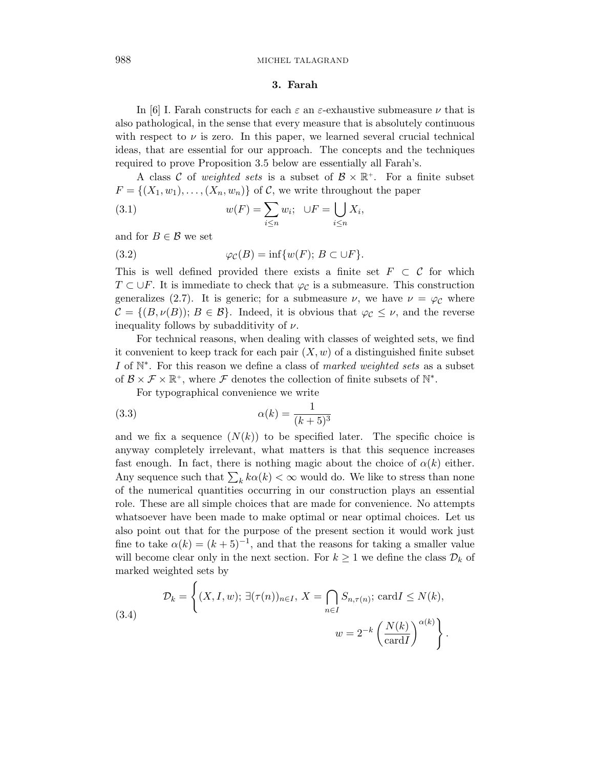#### 3. Farah

In [6] I. Farah constructs for each  $\varepsilon$  an  $\varepsilon$ -exhaustive submeasure  $\nu$  that is also pathological, in the sense that every measure that is absolutely continuous with respect to  $\nu$  is zero. In this paper, we learned several crucial technical ideas, that are essential for our approach. The concepts and the techniques required to prove Proposition 3.5 below are essentially all Farah's.

A class C of *weighted sets* is a subset of  $\mathcal{B} \times \mathbb{R}^+$ . For a finite subset  $F = \{(X_1, w_1), \ldots, (X_n, w_n)\}\$  of C, we write throughout the paper

(3.1) 
$$
w(F) = \sum_{i \leq n} w_i; \quad \bigcup F = \bigcup_{i \leq n} X_i,
$$

and for  $B \in \mathcal{B}$  we set

(3.2) 
$$
\varphi_{\mathcal{C}}(B) = \inf \{ w(F); B \subset \cup F \}.
$$

This is well defined provided there exists a finite set  $F \subset C$  for which  $T \subset \bigcup F$ . It is immediate to check that  $\varphi_{\mathcal{C}}$  is a submeasure. This construction generalizes (2.7). It is generic; for a submeasure  $\nu$ , we have  $\nu = \varphi_c$  where  $\mathcal{C} = \{ (B, \nu(B)); B \in \mathcal{B} \}.$  Indeed, it is obvious that  $\varphi_{\mathcal{C}} \leq \nu$ , and the reverse inequality follows by subadditivity of  $\nu$ .

For technical reasons, when dealing with classes of weighted sets, we find it convenient to keep track for each pair  $(X, w)$  of a distinguished finite subset I of  $\mathbb{N}^*$ . For this reason we define a class of marked weighted sets as a subset of  $\mathcal{B} \times \mathcal{F} \times \mathbb{R}^+$ , where  $\mathcal{F}$  denotes the collection of finite subsets of  $\mathbb{N}^*$ .

For typographical convenience we write

$$
\alpha(k) = \frac{1}{(k+5)^3}
$$

 $\epsilon$ 

and we fix a sequence  $(N(k))$  to be specified later. The specific choice is anyway completely irrelevant, what matters is that this sequence increases fast enough. In fact, there is nothing magic about the choice of  $\alpha(k)$  either. Any sequence such that  $\sum_k k\alpha(k) < \infty$  would do. We like to stress than none of the numerical quantities occurring in our construction plays an essential role. These are all simple choices that are made for convenience. No attempts whatsoever have been made to make optimal or near optimal choices. Let us also point out that for the purpose of the present section it would work just fine to take  $\alpha(k) = (k+5)^{-1}$ , and that the reasons for taking a smaller value will become clear only in the next section. For  $k \geq 1$  we define the class  $\mathcal{D}_k$  of marked weighted sets by

(3.4) 
$$
\mathcal{D}_k = \left\{ (X, I, w); \exists (\tau(n))_{n \in I}, X = \bigcap_{n \in I} S_{n, \tau(n)}; \text{card } I \leq N(k),
$$

$$
w = 2^{-k} \left( \frac{N(k)}{\text{card } I} \right)^{\alpha(k)} \right\}.
$$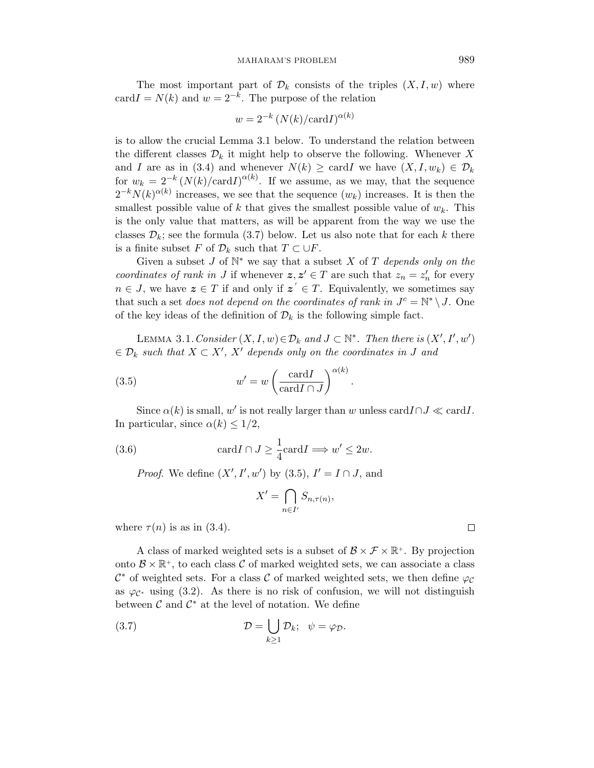The most important part of  $\mathcal{D}_k$  consists of the triples  $(X, I, w)$  where card $I = N(k)$  and  $w = 2^{-k}$ . The purpose of the relation

$$
w = 2^{-k} (N(k)/\text{card} I)^{\alpha(k)}
$$

is to allow the crucial Lemma 3.1 below. To understand the relation between the different classes  $\mathcal{D}_k$  it might help to observe the following. Whenever X and I are as in (3.4) and whenever  $N(k) \geq \text{card}I$  we have  $(X, I, w_k) \in \mathcal{D}_k$ for  $w_k = 2^{-k} (N(k)/\text{card}I)^{\alpha(k)}$ . If we assume, as we may, that the sequence  $2^{-k}N(k)^{\alpha(k)}$  increases, we see that the sequence  $(w_k)$  increases. It is then the smallest possible value of k that gives the smallest possible value of  $w_k$ . This is the only value that matters, as will be apparent from the way we use the classes  $\mathcal{D}_k$ ; see the formula (3.7) below. Let us also note that for each k there is a finite subset F of  $\mathcal{D}_k$  such that  $T \subset \bigcup F$ .

Given a subset  $J$  of  $\mathbb{N}^*$  we say that a subset  $X$  of  $T$  depends only on the coordinates of rank in J if whenever  $z, z' \in T$  are such that  $z_n = z'_n$  for every  $n \in J$ , we have  $\boldsymbol{z} \in T$  if and only if  $\boldsymbol{z}' \in T$ . Equivalently, we sometimes say that such a set *does not depend on the coordinates of rank in*  $J<sup>c</sup> = N^* \setminus J$ . One of the key ideas of the definition of  $\mathcal{D}_k$  is the following simple fact.

LEMMA 3.1. Consider  $(X, I, w) \in \mathcal{D}_k$  and  $J \subset \mathbb{N}^*$ . Then there is  $(X', I', w')$  $\in \mathcal{D}_k$  such that  $X \subset X'$ ,  $X'$  depends only on the coordinates in J and

(3.5) 
$$
w' = w \left( \frac{\operatorname{card} I}{\operatorname{card} I \cap J} \right)^{\alpha(k)}.
$$

Since  $\alpha(k)$  is small, w' is not really larger than w unless cardI $\cap J \ll \text{card} I$ . In particular, since  $\alpha(k) \leq 1/2$ ,

(3.6) 
$$
\operatorname{card} I \cap J \geq \frac{1}{4} \operatorname{card} I \Longrightarrow w' \leq 2w.
$$

*Proof.* We define  $(X', I', w')$  by  $(3.5), I' = I \cap J$ , and

$$
X' = \bigcap_{n \in I'} S_{n, \tau(n)},
$$

where  $\tau(n)$  is as in (3.4).

A class of marked weighted sets is a subset of  $\mathcal{B} \times \mathcal{F} \times \mathbb{R}^+$ . By projection onto  $\mathcal{B} \times \mathbb{R}^+$ , to each class  $\mathcal{C}$  of marked weighted sets, we can associate a class  $\mathcal{C}^*$  of weighted sets. For a class  $\mathcal C$  of marked weighted sets, we then define  $\varphi_{\mathcal{C}}$ as  $\varphi_{\mathcal{C}^*}$  using (3.2). As there is no risk of confusion, we will not distinguish between  $\mathcal C$  and  $\mathcal C^*$  at the level of notation. We define

(3.7) 
$$
\mathcal{D} = \bigcup_{k \geq 1} \mathcal{D}_k; \quad \psi = \varphi_{\mathcal{D}}.
$$

$$
\Box
$$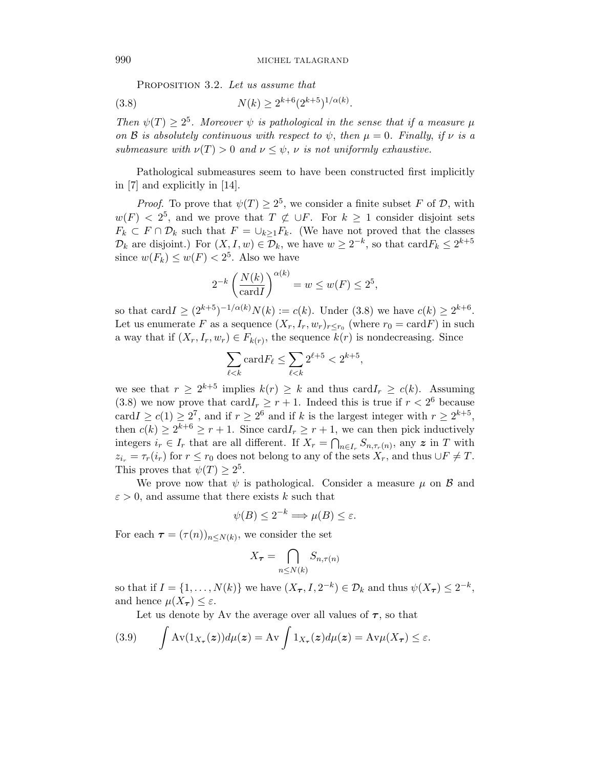PROPOSITION 3.2. Let us assume that

(3.8) 
$$
N(k) \ge 2^{k+6} (2^{k+5})^{1/\alpha(k)}.
$$

Then  $\psi(T) \geq 2^5$ . Moreover  $\psi$  is pathological in the sense that if a measure  $\mu$ on B is absolutely continuous with respect to  $\psi$ , then  $\mu = 0$ . Finally, if  $\nu$  is a submeasure with  $\nu(T) > 0$  and  $\nu \leq \psi$ ,  $\nu$  is not uniformly exhaustive.

Pathological submeasures seem to have been constructed first implicitly in [7] and explicitly in [14].

*Proof.* To prove that  $\psi(T) \geq 2^5$ , we consider a finite subset F of D, with  $w(F) < 2^5$ , and we prove that  $T \not\subset \bigcup F$ . For  $k \geq 1$  consider disjoint sets  $F_k \subset F \cap \mathcal{D}_k$  such that  $F = \bigcup_{k>1} F_k$ . (We have not proved that the classes  $\mathcal{D}_k$  are disjoint.) For  $(X, I, w) \in \mathcal{D}_k$ , we have  $w \geq 2^{-k}$ , so that  $\text{card} F_k \leq 2^{k+5}$ since  $w(F_k) \le w(F) < 2^5$ . Also we have

$$
2^{-k} \left(\frac{N(k)}{\operatorname{card} I}\right)^{\alpha(k)} = w \le w(F) \le 2^5,
$$

so that card  $I \geq (2^{k+5})^{-1/\alpha(k)} N(k) := c(k)$ . Under (3.8) we have  $c(k) \geq 2^{k+6}$ . Let us enumerate F as a sequence  $(X_r, I_r, w_r)_{r \leq r_0}$  (where  $r_0 = \text{card} F$ ) in such a way that if  $(X_r, I_r, w_r) \in F_{k(r)}$ , the sequence  $k(r)$  is nondecreasing. Since

$$
\sum_{\ell < k} \mathrm{card} F_\ell \leq \sum_{\ell < k} 2^{\ell+5} < 2^{k+5},
$$

we see that  $r \geq 2^{k+5}$  implies  $k(r) \geq k$  and thus card $I_r \geq c(k)$ . Assuming (3.8) we now prove that  $\text{card} I_r \geq r+1$ . Indeed this is true if  $r < 2^6$  because card  $I \ge c(1) \ge 2^7$ , and if  $r \ge 2^6$  and if k is the largest integer with  $r \ge 2^{k+5}$ , then  $c(k) \geq 2^{k+6} \geq r+1$ . Since card $I_r \geq r+1$ , we can then pick inductively integers  $i_r \in I_r$  that are all different. If  $X_r = \bigcap_{n \in I_r} S_{n, \tau_r(n)}$ , any z in T with  $z_{i_r} = \tau_r(i_r)$  for  $r \leq r_0$  does not belong to any of the sets  $X_r$ , and thus  $\cup F \neq T$ . This proves that  $\psi(T) \geq 2^5$ .

We prove now that  $\psi$  is pathological. Consider a measure  $\mu$  on  $\beta$  and  $\varepsilon > 0$ , and assume that there exists k such that

$$
\psi(B) \le 2^{-k} \Longrightarrow \mu(B) \le \varepsilon.
$$

For each  $\tau = (\tau(n))_{n \le N(k)}$ , we consider the set

$$
X_{\boldsymbol{\tau}} = \bigcap_{n \le N(k)} S_{n, \tau(n)}
$$

so that if  $I = \{1, ..., N(k)\}\$ we have  $(X_{\tau}, I, 2^{-k}) \in \mathcal{D}_k$  and thus  $\psi(X_{\tau}) \leq 2^{-k}$ , and hence  $\mu(X_{\tau}) \leq \varepsilon$ .

Let us denote by Av the average over all values of  $\tau$ , so that

(3.9) 
$$
\int \mathrm{Av}(\mathbb{1}_{X_{\tau}}(z))d\mu(z) = \mathrm{Av}\int \mathbb{1}_{X_{\tau}}(z)d\mu(z) = \mathrm{Av}\mu(X_{\tau}) \leq \varepsilon.
$$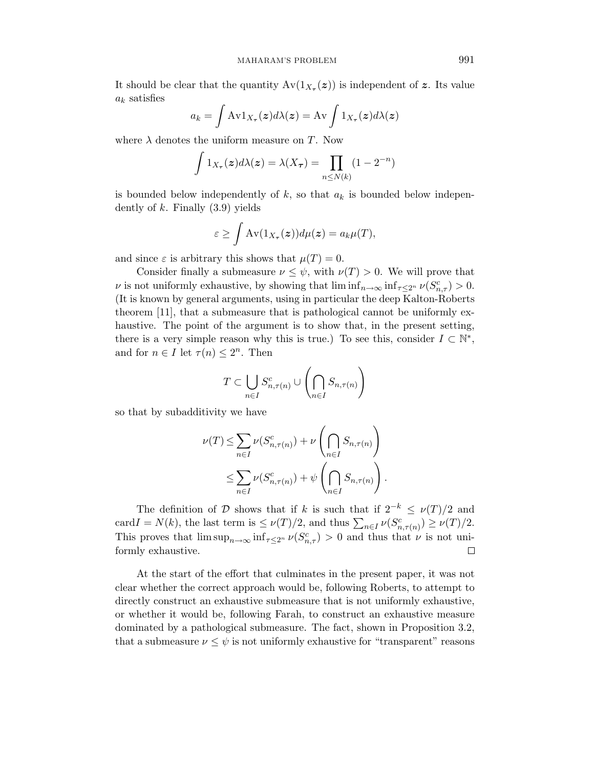It should be clear that the quantity  $Av(1_{X_\tau}(z))$  is independent of z. Its value  $a_k$  satisfies

$$
a_k = \int \mathrm{Av} 1_{X_\tau}(\boldsymbol{z}) d\lambda(\boldsymbol{z}) = \mathrm{Av} \int 1_{X_\tau}(\boldsymbol{z}) d\lambda(\boldsymbol{z})
$$

where  $\lambda$  denotes the uniform measure on T. Now

$$
\int 1_{X_{\tau}}(z)d\lambda(z) = \lambda(X_{\tau}) = \prod_{n \le N(k)} (1 - 2^{-n})
$$

is bounded below independently of  $k$ , so that  $a_k$  is bounded below independently of  $k$ . Finally  $(3.9)$  yields

$$
\varepsilon \ge \int \mathrm{Av}(1_{X_{\tau}}(\boldsymbol{z})) d\mu(\boldsymbol{z}) = a_k \mu(T),
$$

and since  $\varepsilon$  is arbitrary this shows that  $\mu(T) = 0$ .

Consider finally a submeasure  $\nu \leq \psi$ , with  $\nu(T) > 0$ . We will prove that  $\nu$  is not uniformly exhaustive, by showing that  $\liminf_{n\to\infty} \inf_{\tau\leq 2^n} \nu(S_{n,\tau}^c) > 0$ . (It is known by general arguments, using in particular the deep Kalton-Roberts theorem [11], that a submeasure that is pathological cannot be uniformly exhaustive. The point of the argument is to show that, in the present setting, there is a very simple reason why this is true.) To see this, consider  $I \subset \mathbb{N}^*$ , and for  $n \in I$  let  $\tau(n) \leq 2^n$ . Then

$$
T \subset \bigcup_{n \in I} S_{n,\tau(n)}^c \cup \left( \bigcap_{n \in I} S_{n,\tau(n)} \right)
$$

so that by subadditivity we have

$$
\nu(T) \leq \sum_{n \in I} \nu(S_{n,\tau(n)}^c) + \nu \left( \bigcap_{n \in I} S_{n,\tau(n)} \right)
$$
  

$$
\leq \sum_{n \in I} \nu(S_{n,\tau(n)}^c) + \psi \left( \bigcap_{n \in I} S_{n,\tau(n)} \right).
$$

The definition of D shows that if k is such that if  $2^{-k} \le \nu(T)/2$  and card  $I = N(k)$ , the last term is  $\leq \nu(T)/2$ , and thus  $\sum_{n \in I} \nu(S_{n,\tau(n)}^c) \geq \nu(T)/2$ . This proves that  $\limsup_{n\to\infty} \inf_{\tau \leq 2^n} \nu(S_{n,\tau}^c) > 0$  and thus that  $\nu$  is not uniformly exhaustive.  $\Box$ 

At the start of the effort that culminates in the present paper, it was not clear whether the correct approach would be, following Roberts, to attempt to directly construct an exhaustive submeasure that is not uniformly exhaustive, or whether it would be, following Farah, to construct an exhaustive measure dominated by a pathological submeasure. The fact, shown in Proposition 3.2, that a submeasure  $\nu \leq \psi$  is not uniformly exhaustive for "transparent" reasons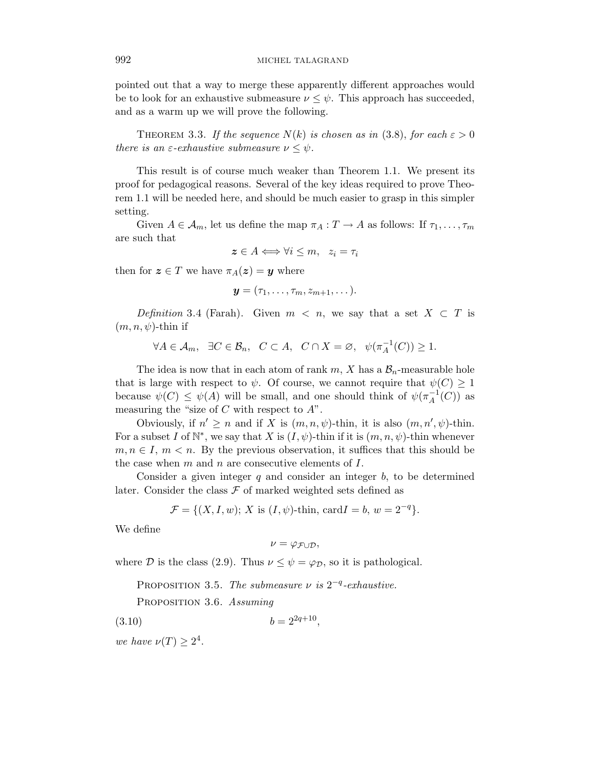pointed out that a way to merge these apparently different approaches would be to look for an exhaustive submeasure  $\nu \leq \psi$ . This approach has succeeded, and as a warm up we will prove the following.

THEOREM 3.3. If the sequence  $N(k)$  is chosen as in (3.8), for each  $\varepsilon > 0$ there is an  $\varepsilon$ -exhaustive submeasure  $\nu \leq \psi$ .

This result is of course much weaker than Theorem 1.1. We present its proof for pedagogical reasons. Several of the key ideas required to prove Theorem 1.1 will be needed here, and should be much easier to grasp in this simpler setting.

Given  $A \in \mathcal{A}_m$ , let us define the map  $\pi_A : T \to A$  as follows: If  $\tau_1, \ldots, \tau_m$ are such that

$$
z \in A \Longleftrightarrow \forall i \leq m, \quad z_i = \tau_i
$$

then for  $z \in T$  we have  $\pi_A(z) = y$  where

$$
\boldsymbol{y}=(\tau_1,\ldots,\tau_m,z_{m+1},\ldots).
$$

Definition 3.4 (Farah). Given  $m < n$ , we say that a set  $X \subset T$  is  $(m, n, \psi)$ -thin if

 $\forall A \in \mathcal{A}_m$ ,  $\exists C \in \mathcal{B}_n$ ,  $C \subset A$ ,  $C \cap X = \emptyset$ ,  $\psi(\pi_A^{-1})$  $_{A}^{-1}(C)$ )  $\geq 1$ .

The idea is now that in each atom of rank  $m, X$  has a  $\mathcal{B}_n$ -measurable hole that is large with respect to  $\psi$ . Of course, we cannot require that  $\psi(C) \geq 1$ because  $\psi(C) \leq \psi(A)$  will be small, and one should think of  $\psi(\pi_A^{-1})$  $_{A}^{-1}(C)$  as measuring the "size of  $C$  with respect to  $A$ ".

Obviously, if  $n' \geq n$  and if X is  $(m, n, \psi)$ -thin, it is also  $(m, n', \psi)$ -thin. For a subset I of  $\mathbb{N}^*$ , we say that X is  $(I, \psi)$ -thin if it is  $(m, n, \psi)$ -thin whenever  $m, n \in I$ ,  $m < n$ . By the previous observation, it suffices that this should be the case when  $m$  and  $n$  are consecutive elements of  $I$ .

Consider a given integer  $q$  and consider an integer  $b$ , to be determined later. Consider the class  $\mathcal F$  of marked weighted sets defined as

 $\mathcal{F} = \{(X, I, w); X \text{ is } (I, \psi) \text{-thin}, \text{card } I = b, w = 2^{-q} \}.$ 

We define

$$
\nu=\varphi_{\mathcal{F}\cup\mathcal{D}},
$$

where D is the class (2.9). Thus  $\nu \leq \psi = \varphi_{\mathcal{D}}$ , so it is pathological.

PROPOSITION 3.5. The submeasure  $\nu$  is  $2^{-q}$ -exhaustive.

PROPOSITION 3.6. Assuming

(3.10)  $b = 2^{2q+10}$ ,

we have  $\nu(T) \geq 2^4$ .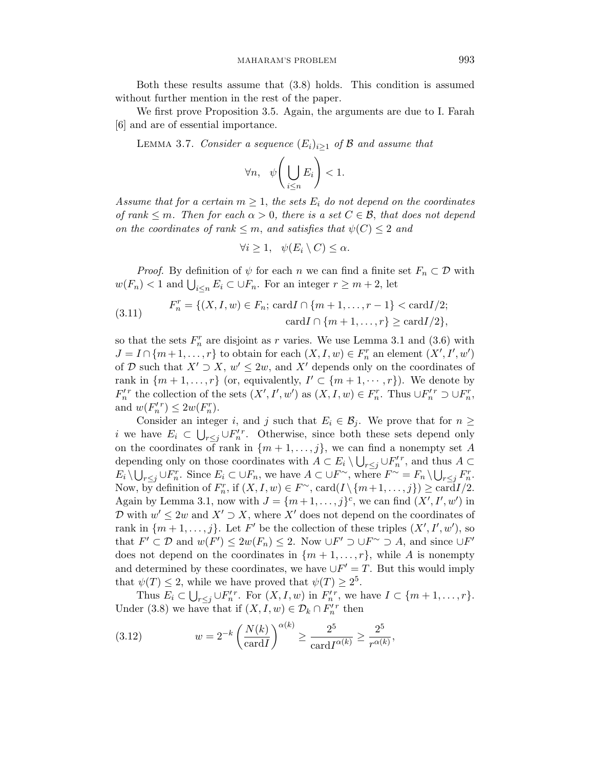Both these results assume that (3.8) holds. This condition is assumed without further mention in the rest of the paper.

We first prove Proposition 3.5. Again, the arguments are due to I. Farah [6] and are of essential importance.

LEMMA 3.7. Consider a sequence  $(E_i)_{i\geq 1}$  of B and assume that

$$
\forall n, \quad \psi\bigg(\bigcup_{i\leq n} E_i\bigg) < 1.
$$

Assume that for a certain  $m \geq 1$ , the sets  $E_i$  do not depend on the coordinates of rank  $\leq m$ . Then for each  $\alpha > 0$ , there is a set  $C \in \mathcal{B}$ , that does not depend on the coordinates of rank  $\leq m$ , and satisfies that  $\psi(C) \leq 2$  and

$$
\forall i \geq 1, \quad \psi(E_i \setminus C) \leq \alpha.
$$

*Proof.* By definition of  $\psi$  for each n we can find a finite set  $F_n \subset \mathcal{D}$  with  $w(F_n) < 1$  and  $\bigcup_{i \leq n} E_i \subset \bigcup F_n$ . For an integer  $r \geq m+2$ , let

(3.11) 
$$
F_n^r = \{(X, I, w) \in F_n; \, \text{card } I \cap \{m+1, \dots, r-1\} < \, \text{card } I/2; \\
\text{card } I \cap \{m+1, \dots, r\} \geq \, \text{card } I/2\},
$$

so that the sets  $F_n^r$  are disjoint as r varies. We use Lemma 3.1 and (3.6) with  $J = I \cap \{m+1, \ldots, r\}$  to obtain for each  $(X, I, w) \in F_n^r$  an element  $(X', I', w')$ of D such that  $X' \supset X$ ,  $w' \leq 2w$ , and  $X'$  depends only on the coordinates of rank in  $\{m+1,\ldots,r\}$  (or, equivalently,  $I' \subset \{m+1,\cdots,r\}$ ). We denote by  $F_n^{\prime r}$  the collection of the sets  $(X', I', w')$  as  $(X, I, w) \in F_n^r$ . Thus  $\cup F_n^{\prime r} \supset \cup F_n^r$ , and  $w(F'_n)^r \leq 2w(F_n^r)$ .

Consider an integer i, and j such that  $E_i \in \mathcal{B}_i$ . We prove that for  $n \geq$ i we have  $E_i \subset \bigcup_{r \leq j} \cup F'^{r}_{n}$ . Otherwise, since both these sets depend only on the coordinates of rank in  $\{m+1,\ldots,j\}$ , we can find a nonempty set A depending only on those coordinates with  $A \subset E_i \setminus \bigcup_{r \leq j} \cup F'^{r}_{n}$ , and thus  $A \subset$  $E_i \setminus \bigcup_{r \leq j} \cup F_n^r$ . Since  $E_i \subset \bigcup F_n$ , we have  $A \subset \bigcup F^\sim$ , where  $F^\sim = F_n \setminus \bigcup_{r \leq j} F_n^r$ . Now, by definition of  $F_n^r$ , if  $(X, I, w) \in F^{\sim}$ ,  $card(I \setminus \{m+1, \ldots, j\}) \geq cardI/2$ . Again by Lemma 3.1, now with  $J = \{m+1,\ldots,j\}^c$ , we can find  $(X', I', w')$  in D with  $w' \leq 2w$  and  $X' \supset X$ , where X' does not depend on the coordinates of rank in  $\{m+1,\ldots,j\}$ . Let F' be the collection of these triples  $(X', I', w')$ , so that  $F' \subset \mathcal{D}$  and  $w(F') \leq 2w(F_n) \leq 2$ . Now  $\bigcup F' \supset \bigcup F^{\sim} \supset A$ , and since  $\bigcup F'$ does not depend on the coordinates in  $\{m+1,\ldots,r\}$ , while A is nonempty and determined by these coordinates, we have  $\bigcup F' = T$ . But this would imply that  $\psi(T) \leq 2$ , while we have proved that  $\psi(T) \geq 2^5$ .

Thus  $E_i \subset \bigcup_{r \leq j} \cup F'_n^r$ . For  $(X, I, w)$  in  $F'_n^r$ , we have  $I \subset \{m+1, \ldots, r\}$ . Under (3.8) we have that if  $(X, I, w) \in \mathcal{D}_k \cap F_n^{\prime r}$  then

(3.12) 
$$
w = 2^{-k} \left( \frac{N(k)}{\operatorname{card} I} \right)^{\alpha(k)} \ge \frac{2^5}{\operatorname{card} I^{\alpha(k)}} \ge \frac{2^5}{r^{\alpha(k)}},
$$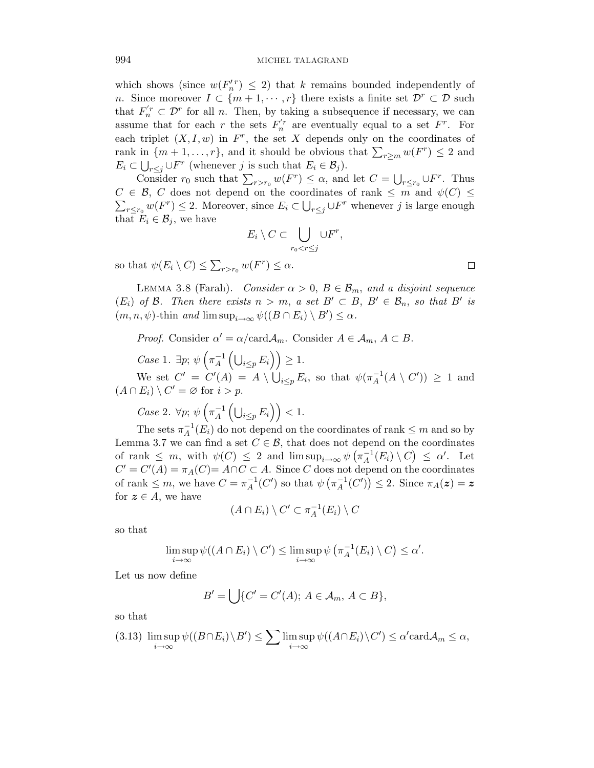which shows (since  $w(F_n') \leq 2$ ) that k remains bounded independently of n. Since moreover  $I \subset \{m+1,\dots,r\}$  there exists a finite set  $\mathcal{D}^r \subset \mathcal{D}$  such that  $F'_n \subset \mathcal{D}^r$  for all n. Then, by taking a subsequence if necessary, we can assume that for each r the sets  $F_n^{r}$  are eventually equal to a set  $F^r$ . For each triplet  $(X, I, w)$  in  $F<sup>r</sup>$ , the set X depends only on the coordinates of rank in  $\{m+1,\ldots,r\}$ , and it should be obvious that  $\sum_{r\geq m} w(F^r) \leq 2$  and  $E_i \subset \bigcup_{r \leq j} \cup F^r$  (whenever j is such that  $E_i \in \mathcal{B}_j$ ).

Consider  $r_0$  such that  $\sum_{r>r_0} w(F^r) \leq \alpha$ , and let  $C = \bigcup_{r \leq r_0} \bigcup F^r$ . Thus  $C \in \mathcal{B}$ , C does not depend on the coordinates of rank  $\leq m$  and  $\psi(C) \leq$  $\sum_{r\leq r_0} w(F^r) \leq 2$ . Moreover, since  $E_i \subset \bigcup_{r\leq j} \cup F^r$  whenever j is large enough that  $E_i \in \mathcal{B}_i$ , we have

$$
E_i \setminus C \subset \bigcup_{r_0 < r \leq j} \cup F^r,
$$

so that  $\psi(E_i \setminus C) \leq \sum_{r>r_0} w(F^r) \leq \alpha$ .

LEMMA 3.8 (Farah). Consider  $\alpha > 0$ ,  $B \in \mathcal{B}_m$ , and a disjoint sequence  $(E_i)$  of B. Then there exists  $n > m$ , a set  $B' \subset B$ ,  $B' \in \mathcal{B}_n$ , so that B' is  $(m, n, \psi)$ -thin and lim sup<sub>i→∞</sub>  $\psi((B \cap E_i) \setminus B') \leq \alpha$ .

*Proof.* Consider  $\alpha' = \alpha / \text{card} \mathcal{A}_m$ . Consider  $A \in \mathcal{A}_m$ ,  $A \subset B$ .

Case 1.  $\exists p; \psi \left( \pi_A^{-1} \right)$  $_{A}^{-1}\left( \bigcup_{i\leq p}E_{i}\right) \right) \geq1.$ 

We set  $C' = C'(A) = A \setminus \bigcup_{i \leq p} E_i$ , so that  $\psi(\pi_A^{-1})$  $_A^{-1}(A \setminus C')$  > 1 and  $(A \cap E_i) \setminus C' = \varnothing$  for  $i > p$ .

Case 2.  $\forall p; \psi \left( \pi_A^{-1} \right)$  $_{A}^{-1}\left( \bigcup_{i\leq p}E_{i}\right) \right) <1.$ 

The sets  $\pi_A^{-1}$  $_{A}^{-1}(E_i)$  do not depend on the coordinates of rank  $\leq m$  and so by Lemma 3.7 we can find a set  $C \in \mathcal{B}$ , that does not depend on the coordinates of rank  $\leq m$ , with  $\psi(C) \leq 2$  and  $\limsup_{i\to\infty} \psi(\pi_A^{-1})$  $\overline{A}^{1}(E_i) \setminus C$   $\leq \alpha'$ . Let  $C' = C'(A) = \pi_A(C) = A \cap C \subset A$ . Since C does not depend on the coordinates of rank  $\leq m$ , we have  $C = \pi_A^{-1}$  $_{A}^{-1}(C')$  so that  $\psi \left( \pi _{A}^{-1}\right)$  $_{A}^{-1}(C')$   $\leq$  2. Since  $\pi_{A}(z) = z$ for  $z \in A$ , we have

$$
(A \cap E_i) \setminus C' \subset \pi_A^{-1}(E_i) \setminus C
$$

so that

$$
\limsup_{i\to\infty}\psi((A\cap E_i)\setminus C')\leq \limsup_{i\to\infty}\psi(\pi_A^{-1}(E_i)\setminus C)\leq \alpha'.
$$

Let us now define

$$
B' = \bigcup \{ C' = C'(A); A \in \mathcal{A}_m, A \subset B \},\
$$

so that

$$
(3.13)\ \limsup_{i\to\infty}\psi((B\cap E_i)\setminus B')\leq\sum_{i\to\infty}\limsup_{i\to\infty}\psi((A\cap E_i)\setminus C')\leq\alpha'\mathrm{card}\mathcal{A}_m\leq\alpha,
$$

$$
\Box
$$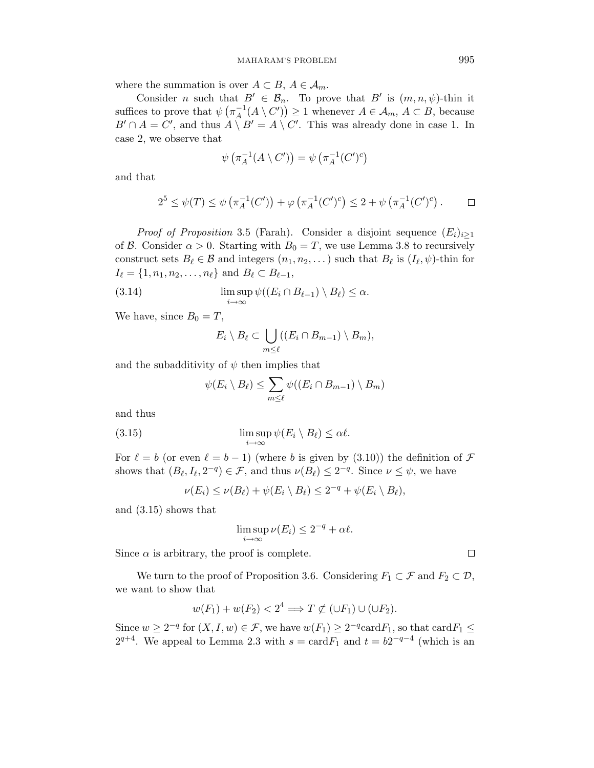where the summation is over  $A \subset B$ ,  $A \in \mathcal{A}_m$ .

Consider *n* such that  $B' \in \mathcal{B}_n$ . To prove that B' is  $(m, n, \psi)$ -thin it suffices to prove that  $\psi(\pi_A^{-1})$  $A^{-1}(A \setminus C') \geq 1$  whenever  $A \in \mathcal{A}_m$ ,  $A \subset B$ , because  $B' \cap A = C'$ , and thus  $A \setminus B' = A \setminus C'$ . This was already done in case 1. In case 2, we observe that

$$
\psi\left(\pi_A^{-1}(A \setminus C')\right) = \psi\left(\pi_A^{-1}(C')^c\right)
$$

and that

$$
2^{5} \leq \psi(T) \leq \psi\left(\pi_A^{-1}(C')\right) + \varphi\left(\pi_A^{-1}(C')^c\right) \leq 2 + \psi\left(\pi_A^{-1}(C')^c\right). \qquad \Box
$$

*Proof of Proposition* 3.5 (Farah). Consider a disjoint sequence  $(E_i)_{i\geq 1}$ of B. Consider  $\alpha > 0$ . Starting with  $B_0 = T$ , we use Lemma 3.8 to recursively construct sets  $B_\ell \in \mathcal{B}$  and integers  $(n_1, n_2, \dots)$  such that  $B_\ell$  is  $(I_\ell, \psi)$ -thin for  $I_{\ell} = \{1, n_1, n_2, \ldots, n_{\ell}\}$  and  $B_{\ell} \subset B_{\ell-1}$ ,

(3.14) 
$$
\limsup_{i \to \infty} \psi((E_i \cap B_{\ell-1}) \setminus B_{\ell}) \leq \alpha.
$$

We have, since  $B_0 = T$ ,

$$
E_i \setminus B_\ell \subset \bigcup_{m \leq \ell} ((E_i \cap B_{m-1}) \setminus B_m),
$$

and the subadditivity of  $\psi$  then implies that

$$
\psi(E_i \setminus B_\ell) \leq \sum_{m \leq \ell} \psi((E_i \cap B_{m-1}) \setminus B_m)
$$

and thus

(3.15) 
$$
\limsup_{i \to \infty} \psi(E_i \setminus B_\ell) \leq \alpha \ell.
$$

For  $\ell = b$  (or even  $\ell = b - 1$ ) (where b is given by (3.10)) the definition of F shows that  $(B_\ell, I_\ell, 2^{-q}) \in \mathcal{F}$ , and thus  $\nu(B_\ell) \leq 2^{-q}$ . Since  $\nu \leq \psi$ , we have

$$
\nu(E_i) \leq \nu(B_\ell) + \psi(E_i \setminus B_\ell) \leq 2^{-q} + \psi(E_i \setminus B_\ell),
$$

and (3.15) shows that

$$
\limsup_{i \to \infty} \nu(E_i) \le 2^{-q} + \alpha \ell.
$$

Since  $\alpha$  is arbitrary, the proof is complete.

We turn to the proof of Proposition 3.6. Considering  $F_1 \subset \mathcal{F}$  and  $F_2 \subset \mathcal{D}$ , we want to show that

$$
w(F_1) + w(F_2) < 2^4 \implies T \not\subset (\cup F_1) \cup (\cup F_2).
$$

Since  $w \ge 2^{-q}$  for  $(X, I, w) \in \mathcal{F}$ , we have  $w(F_1) \ge 2^{-q} \text{card} F_1$ , so that  $\text{card} F_1 \le$  $2^{q+4}$ . We appeal to Lemma 2.3 with  $s = \text{card} F_1$  and  $t = b2^{-q-4}$  (which is an

 $\Box$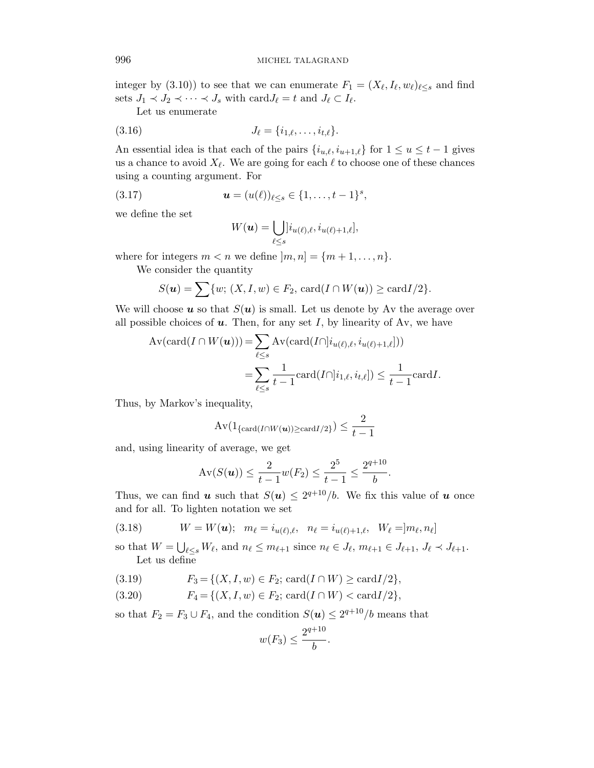integer by (3.10)) to see that we can enumerate  $F_1 = (X_{\ell}, I_{\ell}, w_{\ell})_{\ell \leq s}$  and find sets  $J_1 \prec J_2 \prec \cdots \prec J_s$  with  $\text{card} J_\ell = t$  and  $J_\ell \subset I_\ell$ .

Let us enumerate

(3.16) 
$$
J_{\ell} = \{i_{1,\ell}, \ldots, i_{t,\ell}\}.
$$

An essential idea is that each of the pairs  $\{i_{u,\ell}, i_{u+1,\ell}\}$  for  $1 \le u \le t - 1$  gives us a chance to avoid  $X_{\ell}$ . We are going for each  $\ell$  to choose one of these chances using a counting argument. For

(3.17) 
$$
\mathbf{u} = (u(\ell))_{\ell \leq s} \in \{1, \ldots, t-1\}^s,
$$

we define the set

$$
W(\boldsymbol{u}) = \bigcup_{\ell \leq s} [i_{u(\ell),\ell}, i_{u(\ell)+1,\ell}],
$$

where for integers  $m < n$  we define  $|m, n| = \{m+1, \ldots, n\}.$ 

We consider the quantity

$$
S(\boldsymbol{u}) = \sum \{w; (X, I, w) \in F_2, \operatorname{card}(I \cap W(\boldsymbol{u})) \ge \operatorname{card} I/2\}.
$$

We will choose  $u$  so that  $S(u)$  is small. Let us denote by Av the average over all possible choices of  $u$ . Then, for any set I, by linearity of Av, we have

$$
\begin{aligned} \operatorname{Av}(\operatorname{card}(I \cap W(\boldsymbol{u}))) &= \sum_{\ell \le s} \operatorname{Av}(\operatorname{card}(I \cap [i_{u(\ell),\ell}, i_{u(\ell)+1,\ell}])) \\ &= \sum_{\ell \le s} \frac{1}{t-1} \operatorname{card}(I \cap [i_{1,\ell}, i_{t,\ell}]) \le \frac{1}{t-1} \operatorname{card} I. \end{aligned}
$$

Thus, by Markov's inequality,

$$
\operatorname{Av}(\mathbf{1}_{\{\operatorname{card}(I\cap W(\boldsymbol{u}))\geq \operatorname{card}I/2\}})\leq \frac{2}{t-1}
$$

and, using linearity of average, we get

$$
\operatorname{Av}(S(\boldsymbol{u})) \leq \frac{2}{t-1}w(F_2) \leq \frac{2^5}{t-1} \leq \frac{2^{q+10}}{b}.
$$

Thus, we can find **u** such that  $S(u) \leq 2^{q+10}/b$ . We fix this value of **u** once and for all. To lighten notation we set

(3.18) 
$$
W = W(\mathbf{u}); \ \ m_{\ell} = i_{u(\ell),\ell}, \ \ n_{\ell} = i_{u(\ell)+1,\ell}, \ \ W_{\ell} = ]m_{\ell}, n_{\ell}]
$$

so that  $W = \bigcup_{\ell \leq s} W_{\ell}$ , and  $n_{\ell} \leq m_{\ell+1}$  since  $n_{\ell} \in J_{\ell}$ ,  $m_{\ell+1} \in J_{\ell+1}$ ,  $J_{\ell} \prec J_{\ell+1}$ . Let us define

- (3.19)  $F_3 = \{(X, I, w) \in F_2; \text{ card}(I \cap W) \geq \text{card}I/2\},\$
- (3.20)  $F_4 = \{(X, I, w) \in F_2; \text{ card}(I \cap W) < \text{card}I/2\},\$

so that  $F_2 = F_3 \cup F_4$ , and the condition  $S(\boldsymbol{u}) \leq 2^{q+10}/b$  means that

$$
w(F_3) \le \frac{2^{q+10}}{b}.
$$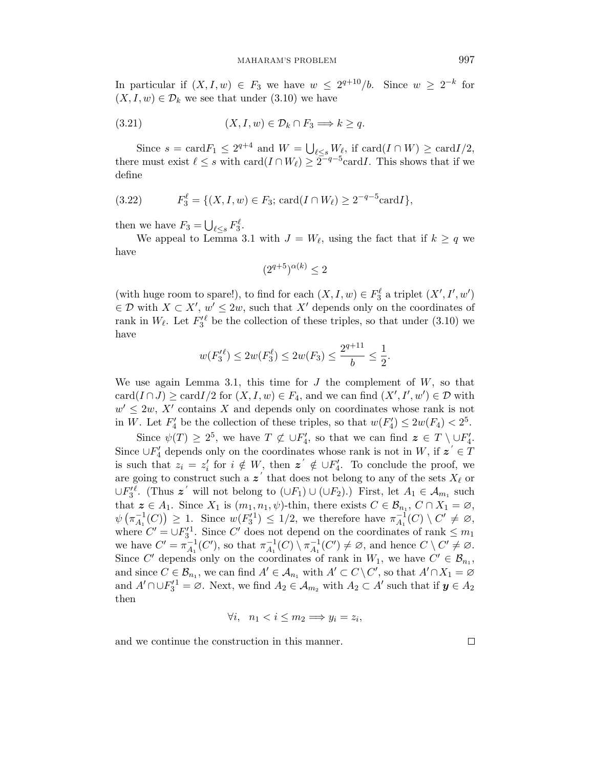In particular if  $(X, I, w) \in F_3$  we have  $w \leq 2^{q+10}/b$ . Since  $w \geq 2^{-k}$  for  $(X, I, w) \in \mathcal{D}_k$  we see that under  $(3.10)$  we have

$$
(3.21) \t\t (X, I, w) \in \mathcal{D}_k \cap F_3 \Longrightarrow k \ge q.
$$

Since  $s = \text{card} F_1 \leq 2^{q+4}$  and  $W = \bigcup_{\ell \leq s} W_{\ell}$ , if  $\text{card}(I \cap W) \geq \text{card} I/2$ , there must exist  $\ell \leq s$  with  $\text{card}(I \cap W_{\ell}) \geq 2^{-q-5} \text{card} I$ . This shows that if we define

(3.22) 
$$
F_3^{\ell} = \{ (X, I, w) \in F_3; \operatorname{card}(I \cap W_{\ell}) \ge 2^{-q-5} \operatorname{card} I \},
$$

then we have  $F_3 = \bigcup_{\ell \leq s} F_3^{\ell}$ .

We appeal to Lemma 3.1 with  $J = W_{\ell}$ , using the fact that if  $k \geq q$  we have

$$
(2^{q+5})^{\alpha(k)} \le 2
$$

(with huge room to spare!), to find for each  $(X, I, w) \in F_3^{\ell}$  a triplet  $(X', I', w')$  $\in \mathcal{D}$  with  $X \subset X'$ ,  $w' \leq 2w$ , such that X' depends only on the coordinates of rank in  $W_{\ell}$ . Let  $F_3'^{\ell}$  be the collection of these triples, so that under (3.10) we have

$$
w(F_3'^{\ell}) \le 2w(F_3^{\ell}) \le 2w(F_3) \le \frac{2^{q+11}}{b} \le \frac{1}{2}.
$$

We use again Lemma 3.1, this time for  $J$  the complement of  $W$ , so that  $card(I \cap J) \geq cardI/2$  for  $(X, I, w) \in F_4$ , and we can find  $(X', I', w') \in \mathcal{D}$  with  $w' \leq 2w$ , X' contains X and depends only on coordinates whose rank is not in W. Let  $F'_4$  be the collection of these triples, so that  $w(F'_4) \leq 2w(F_4) < 2^5$ .

Since  $\psi(T) \geq 2^5$ , we have  $T \not\subset \cup F'_4$ , so that we can find  $z \in T \setminus \cup F'_4$ . Since  $\cup F'_4$  depends only on the coordinates whose rank is not in W, if  $z^{'} \in T$ is such that  $z_i = z'_i$  for  $i \notin W$ , then  $z' \notin \bigcup F'_4$ . To conclude the proof, we are going to construct such a  $z'$  that does not belong to any of the sets  $X_{\ell}$  or ∪ $F_3^{\prime \ell}$ . (Thus  $z^{\prime}$  will not belong to  $(\cup F_1) \cup (\cup F_2)$ .) First, let  $A_1 \in \mathcal{A}_{m_1}$  such that  $z \in A_1$ . Since  $X_1$  is  $(m_1, n_1, \psi)$ -thin, there exists  $C \in \mathcal{B}_{n_1}$ ,  $C \cap X_1 = \emptyset$ ,  $\psi$   $(\pi_{A_1}^{-1})$  $\binom{-1}{A_1}(C)$   $\geq 1$ . Since  $w(F_3^{1}) \leq 1/2$ , we therefore have  $\pi_{A_1}^{-1}$  $C_{{A_1}}^{-1}(C) \setminus C' \neq \varnothing,$ where  $C' = \bigcup F_3'^1$ . Since C' does not depend on the coordinates of rank  $\leq m_1$ we have  $C' = \pi_{A_1}^{-1}$  $\overline{A}_1^{-1}(C')$ , so that  $\pi^{-1}_{A_1}$  $^{-1}_{A_1}(C) \setminus \pi^{-1}_{A_1}$  $_{A_1}^{-1}(C') \neq \emptyset$ , and hence  $C \setminus C' \neq \emptyset$ . Since C' depends only on the coordinates of rank in  $W_1$ , we have  $C' \in \mathcal{B}_{n_1}$ , and since  $C \in \mathcal{B}_{n_1}$ , we can find  $A' \in \mathcal{A}_{n_1}$  with  $A' \subset C \setminus C'$ , so that  $A' \cap X_1 = \varnothing$ and  $A' \cap \cup F_3'^1 = \emptyset$ . Next, we find  $A_2 \in \mathcal{A}_{m_2}$  with  $A_2 \subset A'$  such that if  $y \in A_2$ then

$$
\forall i, \ \ n_1 < i \le m_2 \Longrightarrow y_i = z_i,
$$

and we continue the construction in this manner.

 $\Box$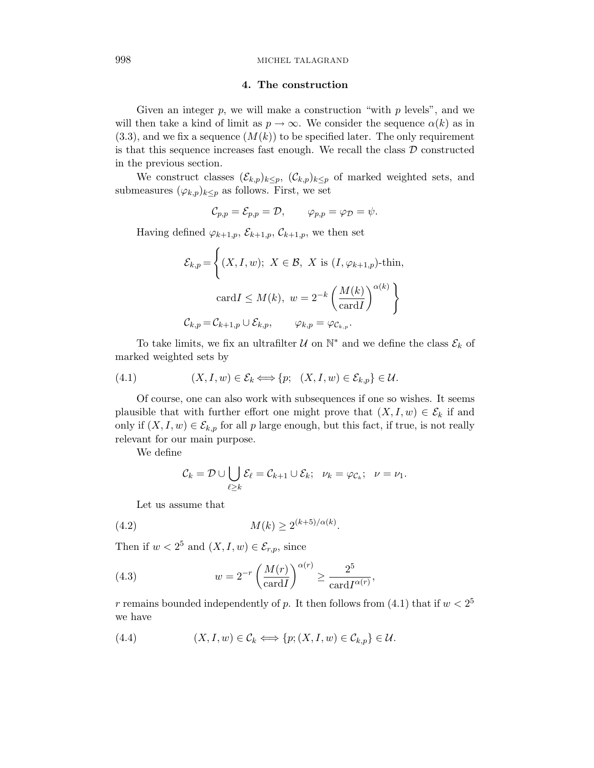## 4. The construction

Given an integer  $p$ , we will make a construction "with  $p$  levels", and we will then take a kind of limit as  $p \to \infty$ . We consider the sequence  $\alpha(k)$  as in  $(3.3)$ , and we fix a sequence  $(M(k))$  to be specified later. The only requirement is that this sequence increases fast enough. We recall the class  $D$  constructed in the previous section.

We construct classes  $(\mathcal{E}_{k,p})_{k\leq p}$ ,  $(\mathcal{C}_{k,p})_{k\leq p}$  of marked weighted sets, and submeasures  $(\varphi_{k,p})_{k\leq p}$  as follows. First, we set

$$
\mathcal{C}_{p,p} = \mathcal{E}_{p,p} = \mathcal{D}, \qquad \varphi_{p,p} = \varphi_{\mathcal{D}} = \psi.
$$

Having defined  $\varphi_{k+1,p}, \mathcal{E}_{k+1,p}, \mathcal{C}_{k+1,p}$ , we then set

$$
\mathcal{E}_{k,p} = \left\{ (X, I, w); \ X \in \mathcal{B}, \ X \text{ is } (I, \varphi_{k+1,p})\text{-thin},\right.
$$

$$
\text{card}I \le M(k), \ w = 2^{-k} \left( \frac{M(k)}{\text{card}I} \right)^{\alpha(k)} \right\}
$$

$$
\mathcal{C}_{k,p} = \mathcal{C}_{k+1,p} \cup \mathcal{E}_{k,p}, \qquad \varphi_{k,p} = \varphi_{\mathcal{C}_{k,p}}.
$$

To take limits, we fix an ultrafilter  $\mathcal U$  on  $\mathbb N^*$  and we define the class  $\mathcal E_k$  of marked weighted sets by

(4.1) 
$$
(X, I, w) \in \mathcal{E}_k \Longleftrightarrow \{p; (X, I, w) \in \mathcal{E}_{k, p}\} \in \mathcal{U}.
$$

Of course, one can also work with subsequences if one so wishes. It seems plausible that with further effort one might prove that  $(X, I, w) \in \mathcal{E}_k$  if and only if  $(X, I, w) \in \mathcal{E}_{k,p}$  for all p large enough, but this fact, if true, is not really relevant for our main purpose.

We define

$$
\mathcal{C}_k = \mathcal{D} \cup \bigcup_{\ell \geq k} \mathcal{E}_\ell = \mathcal{C}_{k+1} \cup \mathcal{E}_k; \ \ \nu_k = \varphi_{\mathcal{C}_k}; \ \ \nu = \nu_1.
$$

Let us assume that

(4.2) 
$$
M(k) \ge 2^{(k+5)/\alpha(k)}.
$$

Then if  $w < 2^5$  and  $(X, I, w) \in \mathcal{E}_{r,p}$ , since

(4.3) 
$$
w = 2^{-r} \left(\frac{M(r)}{\operatorname{card} I}\right)^{\alpha(r)} \ge \frac{2^5}{\operatorname{card} I^{\alpha(r)}},
$$

r remains bounded independently of p. It then follows from (4.1) that if  $w < 2^5$ we have

(4.4) 
$$
(X, I, w) \in \mathcal{C}_k \Longleftrightarrow \{p; (X, I, w) \in \mathcal{C}_{k, p}\} \in \mathcal{U}.
$$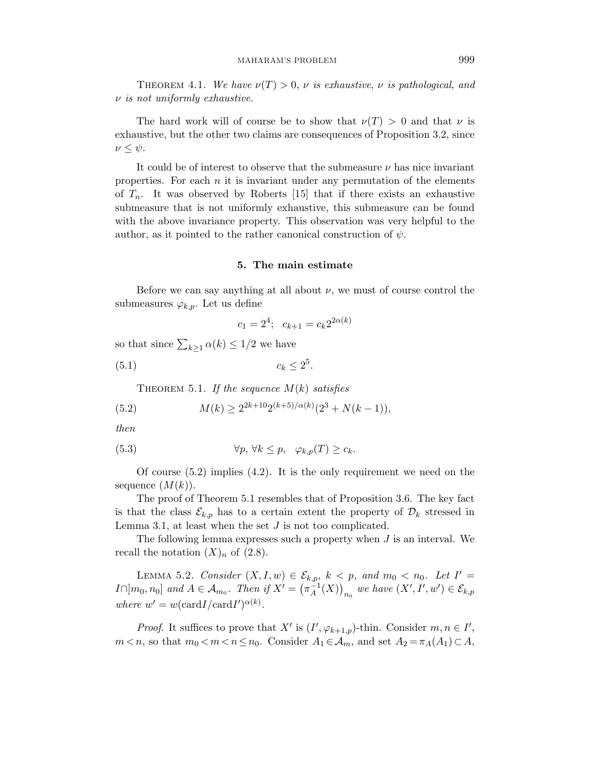THEOREM 4.1. We have  $\nu(T) > 0$ ,  $\nu$  is exhaustive,  $\nu$  is pathological, and  $\nu$  is not uniformly exhaustive.

The hard work will of course be to show that  $\nu(T) > 0$  and that  $\nu$  is exhaustive, but the other two claims are consequences of Proposition 3.2, since  $\nu \leq \psi$ .

It could be of interest to observe that the submeasure  $\nu$  has nice invariant properties. For each  $n$  it is invariant under any permutation of the elements of  $T_n$ . It was observed by Roberts [15] that if there exists an exhaustive submeasure that is not uniformly exhaustive, this submeasure can be found with the above invariance property. This observation was very helpful to the author, as it pointed to the rather canonical construction of  $\psi$ .

#### 5. The main estimate

Before we can say anything at all about  $\nu$ , we must of course control the submeasures  $\varphi_{k,p}$ . Let us define

$$
c_1 = 2^4; \quad c_{k+1} = c_k 2^{2\alpha(k)}
$$

so that since  $\sum_{k\geq 1} \alpha(k) \leq 1/2$  we have

$$
(5.1) \t\t c_k \le 2^5.
$$

THEOREM 5.1. If the sequence  $M(k)$  satisfies

(5.2) 
$$
M(k) \ge 2^{2k+10} 2^{(k+5)/\alpha(k)} (2^3 + N(k-1)),
$$

then

(5.3) 
$$
\forall p, \forall k \leq p, \quad \varphi_{k,p}(T) \geq c_k.
$$

Of course (5.2) implies (4.2). It is the only requirement we need on the sequence  $(M(k))$ .

The proof of Theorem 5.1 resembles that of Proposition 3.6. The key fact is that the class  $\mathcal{E}_{k,p}$  has to a certain extent the property of  $\mathcal{D}_k$  stressed in Lemma 3.1, at least when the set  $J$  is not too complicated.

The following lemma expresses such a property when  $J$  is an interval. We recall the notation  $(X)<sub>n</sub>$  of  $(2.8)$ .

LEMMA 5.2. Consider  $(X, I, w) \in \mathcal{E}_{k,p}$ ,  $k < p$ , and  $m_0 < n_0$ . Let  $I' =$  $I\cap ]m_0,n_0]$  and  $A\in\mathcal{A}_{m_0}$ . Then if  $X'=\left(\pi_A^{-1}\right)$  $\left(\overline{A}^1(X)\right)_{n_0}$  we have  $(X', I', w') \in \mathcal{E}_{k,p}$ where  $w' = w(\text{card} I / \text{card} I')^{\alpha(k)}$ .

*Proof.* It suffices to prove that X' is  $(I', \varphi_{k+1,p})$ -thin. Consider  $m, n \in I'$ ,  $m < n$ , so that  $m_0 < m < n \le n_0$ . Consider  $A_1 \in \mathcal{A}_m$ , and set  $A_2 = \pi_A(A_1) \subset A$ ,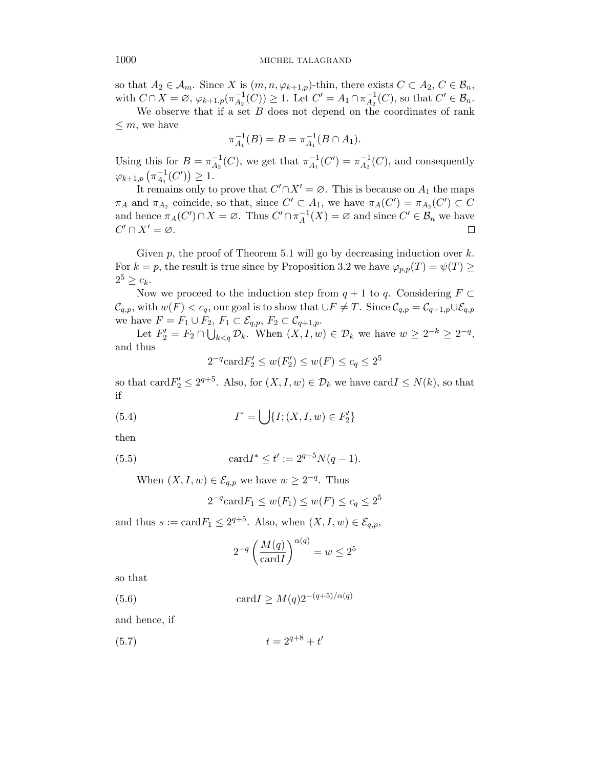so that  $A_2 \in \mathcal{A}_m$ . Since X is  $(m, n, \varphi_{k+1,p})$ -thin, there exists  $C \subset A_2, C \in \mathcal{B}_n$ , with  $C \cap X = \emptyset$ ,  $\varphi_{k+1,p}(\pi_{A_2}^{-1})$  $\overline{A_2}^{-1}(C)$   $\geq$  1. Let  $C' = A_1 \cap \pi_{A_2}^{-1}$  $^{-1}_{A_2}(C)$ , so that  $C' \in \mathcal{B}_n$ .

We observe that if a set  $B$  does not depend on the coordinates of rank  $\leq m$ , we have

$$
\pi_{A_1}^{-1}(B) = B = \pi_{A_1}^{-1}(B \cap A_1).
$$

Using this for  $B = \pi_{A_2}^{-1}$  $^{-1}_{A_2}(C)$ , we get that  $\pi^{-1}_{A_1}$  $\overline{A}_1^{-1}(C') = \pi_{A_2}^{-1}$  $\overline{A}_2^{-1}(C)$ , and consequently  $\varphi_{k+1,p}$   $\left(\pi^{-1}_{A_1}\right)$  $^{-1}_{A_1}(C')\geq 1.$ 

It remains only to prove that  $C' \cap X' = \emptyset$ . This is because on  $A_1$  the maps  $\pi_A$  and  $\pi_{A_2}$  coincide, so that, since  $C' \subset A_1$ , we have  $\pi_A(C') = \pi_{A_2}(C') \subset C$ and hence  $\pi_A(C') \cap X = \emptyset$ . Thus  $C' \cap \pi_A^{-1}$  $_{A}^{-1}(X) = \varnothing$  and since  $C' \in \mathcal{B}_n$  we have  $C' \cap X' = \varnothing$ .  $\Box$ 

Given  $p$ , the proof of Theorem 5.1 will go by decreasing induction over  $k$ . For  $k = p$ , the result is true since by Proposition 3.2 we have  $\varphi_{p,p}(T) = \psi(T) \geq$  $2^5 \geq c_k$ .

Now we proceed to the induction step from  $q + 1$  to q. Considering  $F \subset$  $\mathcal{C}_{q,p}$ , with  $w(F) < c_q$ , our goal is to show that  $\cup F \neq T$ . Since  $\mathcal{C}_{q,p} = \mathcal{C}_{q+1,p} \cup \mathcal{E}_{q,p}$ we have  $F = F_1 \cup F_2$ ,  $F_1 \subset \mathcal{E}_{q,p}$ ,  $F_2 \subset \mathcal{C}_{q+1,p}$ .

Let  $F_2' = F_2 \cap \bigcup_{k < q} \mathcal{D}_k$ . When  $(X, I, w) \in \mathcal{D}_k$  we have  $w \geq 2^{-k} \geq 2^{-q}$ , and thus

$$
2^{-q} \text{card} F_2' \le w(F_2') \le w(F) \le c_q \le 2^5
$$

so that card  $F'_2 \leq 2^{q+5}$ . Also, for  $(X, I, w) \in \mathcal{D}_k$  we have card  $I \leq N(k)$ , so that if

(5.4) 
$$
I^* = \bigcup \{ I; (X, I, w) \in F_2' \}
$$

then

(5.5) 
$$
\operatorname{card} I^* \leq t' := 2^{q+5} N(q-1).
$$

When  $(X, I, w) \in \mathcal{E}_{q,p}$  we have  $w \ge 2^{-q}$ . Thus

$$
2^{-q} \operatorname{card} F_1 \le w(F_1) \le w(F) \le c_q \le 2^5
$$

and thus  $s := \text{card} F_1 \leq 2^{q+5}$ . Also, when  $(X, I, w) \in \mathcal{E}_{q,p}$ ,

$$
2^{-q} \left(\frac{M(q)}{\operatorname{card} I}\right)^{\alpha(q)} = w \le 2^5
$$

so that

(5.6) card $I \ge M(q)2^{-(q+5)/\alpha(q)}$ 

and hence, if

$$
(5.7) \t\t t = 2^{q+8} + t'
$$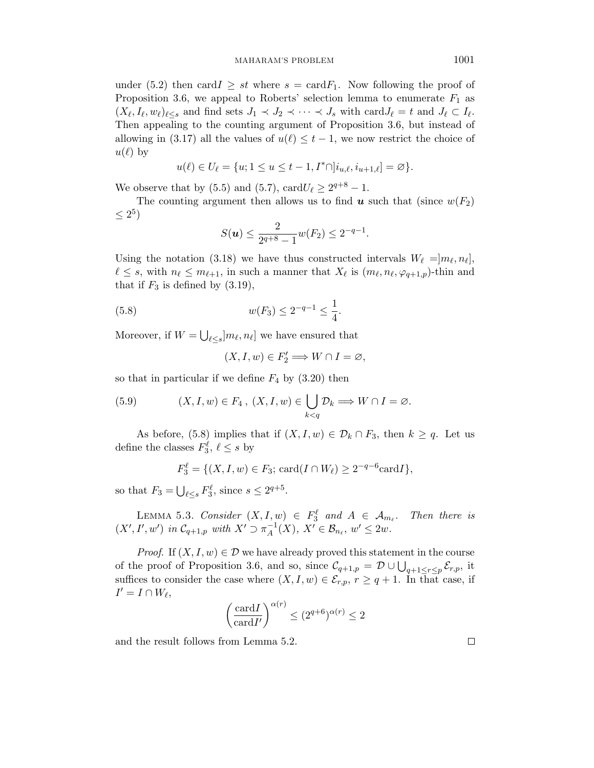under (5.2) then card  $I \geq st$  where  $s = \text{card} F_1$ . Now following the proof of Proposition 3.6, we appeal to Roberts' selection lemma to enumerate  $F_1$  as  $(X_{\ell}, I_{\ell}, w_{\ell})_{\ell \leq s}$  and find sets  $J_1 \prec J_2 \prec \cdots \prec J_s$  with  $\text{card} J_{\ell} = t$  and  $J_{\ell} \subset I_{\ell}$ . Then appealing to the counting argument of Proposition 3.6, but instead of allowing in (3.17) all the values of  $u(\ell) \leq t - 1$ , we now restrict the choice of  $u(\ell)$  by

$$
u(\ell)\in U_\ell=\{u;1\leq u\leq t-1,I^*\cap]i_{u,\ell},i_{u+1,\ell}]=\varnothing\}.
$$

We observe that by (5.5) and (5.7), card $U_{\ell} \geq 2^{q+8} - 1$ .

The counting argument then allows us to find  $u$  such that (since  $w(F_2)$ )  $\leq 2^5$ 

$$
S(\boldsymbol{u}) \le \frac{2}{2^{q+8}-1} w(F_2) \le 2^{-q-1}.
$$

Using the notation (3.18) we have thus constructed intervals  $W_{\ell} = ]m_{\ell}, n_{\ell}],$  $\ell \leq s$ , with  $n_{\ell} \leq m_{\ell+1}$ , in such a manner that  $X_{\ell}$  is  $(m_{\ell}, n_{\ell}, \varphi_{q+1,p})$ -thin and that if  $F_3$  is defined by  $(3.19)$ ,

(5.8) 
$$
w(F_3) \le 2^{-q-1} \le \frac{1}{4}.
$$

Moreover, if  $W = \bigcup_{\ell \leq s} [m_\ell, n_\ell]$  we have ensured that

$$
(X,I,w)\in F_2'\Longrightarrow W\cap I=\varnothing,
$$

so that in particular if we define  $F_4$  by  $(3.20)$  then

(5.9) 
$$
(X, I, w) \in F_4, (X, I, w) \in \bigcup_{k < q} \mathcal{D}_k \Longrightarrow W \cap I = \varnothing.
$$

As before, (5.8) implies that if  $(X, I, w) \in \mathcal{D}_k \cap F_3$ , then  $k \geq q$ . Let us define the classes  $F_3^{\ell}$ ,  $\ell \leq s$  by

$$
F_3^{\ell} = \{ (X, I, w) \in F_3; \, \text{card}(I \cap W_{\ell}) \ge 2^{-q-6} \text{card} I \},
$$

so that  $F_3 = \bigcup_{\ell \leq s} F_3^{\ell}$ , since  $s \leq 2^{q+5}$ .

LEMMA 5.3. Consider  $(X, I, w) \in F_3^{\ell}$  and  $A \in \mathcal{A}_{m_{\ell}}$ . Then there is  $(X', I', w')$  in  $C_{q+1,p}$  with  $X' \supset \pi_A^{-1}$  $_{A}^{-1}(X), X' \in \mathcal{B}_{n_{\ell}}, w' \leq 2w.$ 

*Proof.* If  $(X, I, w) \in \mathcal{D}$  we have already proved this statement in the course of the proof of Proposition 3.6, and so, since  $\mathcal{C}_{q+1,p} = \mathcal{D} \cup \bigcup_{q+1 \leq r \leq p} \mathcal{E}_{r,p}$ , it suffices to consider the case where  $(X, I, w) \in \mathcal{E}_{r,p}, r \geq q+1$ . In that case, if  $I' = I \cap W_{\ell},$ 

$$
\left(\frac{\operatorname{card} I}{\operatorname{card} I'}\right)^{\alpha(r)} \le (2^{q+6})^{\alpha(r)} \le 2
$$

and the result follows from Lemma 5.2.

 $\Box$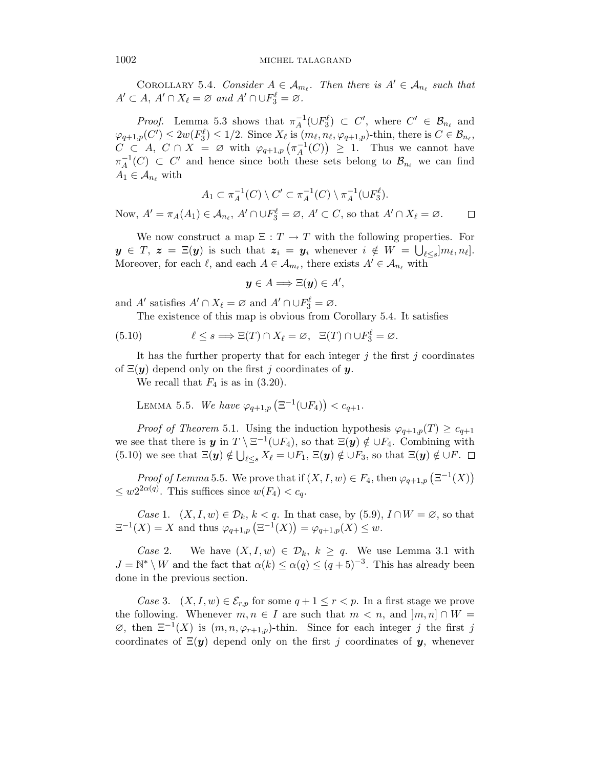COROLLARY 5.4. Consider  $A \in \mathcal{A}_{m_{\ell}}$ . Then there is  $A' \in \mathcal{A}_{n_{\ell}}$  such that  $A' \subset A$ ,  $A' \cap X_{\ell} = \varnothing$  and  $A' \cap \cup F_3^{\ell} = \varnothing$ .

*Proof.* Lemma 5.3 shows that  $\pi_A^{-1}$  $\overline{A}^1(\cup F_3^{\ell}) \subset C',$  where  $C' \in \mathcal{B}_{n_{\ell}}$  and  $\varphi_{q+1,p}(C') \leq 2w(F_3^{\ell}) \leq 1/2$ . Since  $X_{\ell}$  is  $(m_{\ell}, n_{\ell}, \varphi_{q+1,p})$ -thin, there is  $C \in \mathcal{B}_{n_{\ell}}$ ,  $C \subset A, C \cap X = \varnothing$  with  $\varphi_{q+1,p}(\pi_A^{-1})$  $_{A}^{-1}(C)$   $\geq$  1. Thus we cannot have  $\pi^{-1}_A$  $_{A}^{-1}(C) \subset C'$  and hence since both these sets belong to  $\mathcal{B}_{n_{\ell}}$  we can find  $A_1 \in \mathcal{A}_{n_\ell}$  with

$$
A_1 \subset \pi_A^{-1}(C) \setminus C' \subset \pi_A^{-1}(C) \setminus \pi_A^{-1}(\cup F_3^{\ell}).
$$

Now,  $A' = \pi_A(A_1) \in \mathcal{A}_{n_\ell}, A' \cap \cup F_3^{\ell} = \emptyset, A' \subset C$ , so that  $A' \cap X_{\ell} = \emptyset$ .  $\Box$ 

We now construct a map  $\Xi : T \to T$  with the following properties. For  $y \in T, z = \Xi(y)$  is such that  $z_i = y_i$  whenever  $i \notin W = \bigcup_{\ell \leq s} ]m_{\ell}, n_{\ell}].$ Moreover, for each  $\ell$ , and each  $A \in \mathcal{A}_{m_{\ell}}$ , there exists  $A' \in \mathcal{A}_{n_{\ell}}$  with

$$
\mathbf{y} \in A \Longrightarrow \Xi(\mathbf{y}) \in A',
$$

and A' satisfies  $A' \cap X_{\ell} = \emptyset$  and  $A' \cap \bigcup F_3^{\ell} = \emptyset$ .

The existence of this map is obvious from Corollary 5.4. It satisfies

(5.10) 
$$
\ell \leq s \Longrightarrow \Xi(T) \cap X_{\ell} = \varnothing, \ \ \Xi(T) \cap \cup F_3^{\ell} = \varnothing.
$$

It has the further property that for each integer  $j$  the first  $j$  coordinates of  $\Xi(y)$  depend only on the first j coordinates of y.

We recall that  $F_4$  is as in (3.20).

LEMMA 5.5. We have  $\varphi_{q+1,p}(\Xi^{-1}(\cup F_4)) < c_{q+1}.$ 

*Proof of Theorem* 5.1. Using the induction hypothesis  $\varphi_{q+1,p}(T) \geq c_{q+1}$ we see that there is  $y$  in  $T \setminus \Xi^{-1}(\cup F_4)$ , so that  $\Xi(y) \notin \cup F_4$ . Combining with (5.10) we see that  $\Xi(\mathbf{y}) \notin \bigcup_{\ell \leq s} X_{\ell} = \bigcup F_1$ ,  $\Xi(\mathbf{y}) \notin \bigcup F_3$ , so that  $\Xi(\mathbf{y}) \notin \bigcup F$ .

*Proof of Lemma* 5.5. We prove that if  $(X, I, w) \in F_4$ , then  $\varphi_{q+1,p}(\Xi^{-1}(X))$  $\leq w2^{2\alpha(q)}$ . This suffices since  $w(F_4) < c_q$ .

Case 1.  $(X, I, w) \in \mathcal{D}_k$ ,  $k < q$ . In that case, by (5.9),  $I \cap W = \emptyset$ , so that  $\Xi^{-1}(X) = X$  and thus  $\varphi_{q+1,p}(\Xi^{-1}(X)) = \varphi_{q+1,p}(X) \leq w$ .

Case 2. We have  $(X, I, w) \in \mathcal{D}_k$ ,  $k \geq q$ . We use Lemma 3.1 with  $J = \mathbb{N}^* \setminus W$  and the fact that  $\alpha(k) \leq \alpha(q) \leq (q+5)^{-3}$ . This has already been done in the previous section.

Case 3.  $(X, I, w) \in \mathcal{E}_{r,p}$  for some  $q + 1 \leq r < p$ . In a first stage we prove the following. Whenever  $m, n \in I$  are such that  $m < n$ , and  $[m, n] \cap W =$  $\varnothing$ , then  $\Xi^{-1}(X)$  is  $(m, n, \varphi_{r+1,p})$ -thin. Since for each integer j the first j coordinates of  $\Xi(y)$  depend only on the first j coordinates of y, whenever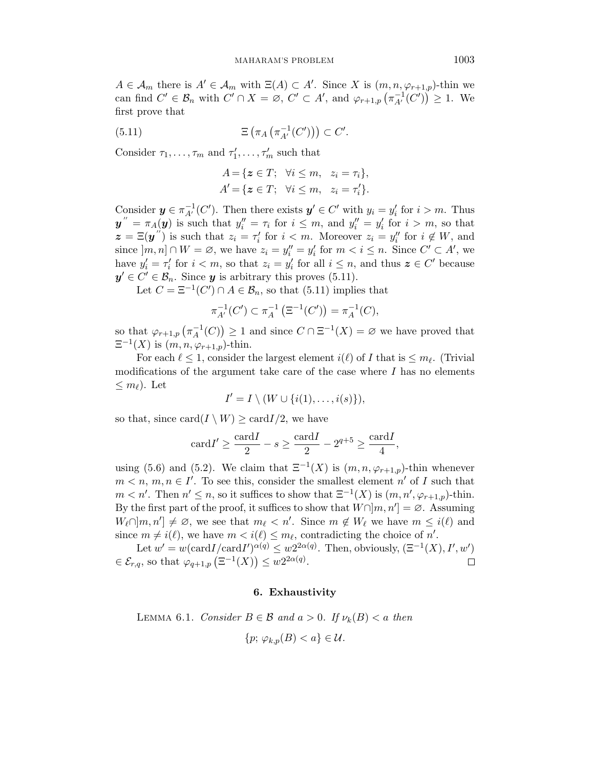$A \in \mathcal{A}_m$  there is  $A' \in \mathcal{A}_m$  with  $\Xi(A) \subset A'$ . Since X is  $(m, n, \varphi_{r+1,p})$ -thin we can find  $C' \in \mathcal{B}_n$  with  $C' \cap X = \emptyset$ ,  $C' \subset A'$ , and  $\varphi_{r+1,p}(\pi_{A'}^{-1}(C')) \geq 1$ . We first prove that

(5.11) 
$$
\Xi\left(\pi_A\left(\pi_{A'}^{-1}(C')\right)\right) \subset C'.
$$

Consider  $\tau_1, \ldots, \tau_m$  and  $\tau'_1, \ldots, \tau'_m$  such that

$$
A = \{ \mathbf{z} \in T; \ \forall i \leq m, \ z_i = \tau_i \},
$$
  

$$
A' = \{ \mathbf{z} \in T; \ \forall i \leq m, \ z_i = \tau'_i \}.
$$

Consider  $y \in \pi_{A'}^{-1}(C')$ . Then there exists  $y' \in C'$  with  $y_i = y'_i$  for  $i > m$ . Thus  $y'' = \pi_A(y)$  is such that  $y''_i = \tau_i$  for  $i \leq m$ , and  $y''_i = y'_i$  for  $i > m$ , so that  $\mathbf{z} = \Xi(\mathbf{y}'')$  is such that  $z_i = \tau'_i$  for  $i < m$ . Moreover  $z_i = y''_i$  for  $i \notin W$ , and since  $[m, n] \cap W = \emptyset$ , we have  $z_i = y''_i = y'_i$  for  $m < i \leq n$ . Since  $C' \subset A'$ , we have  $y_i' = \tau_i'$  for  $i < m$ , so that  $z_i = y_i'$  for all  $i \leq n$ , and thus  $z \in C'$  because  $y' \in C' \in \mathcal{B}_n$ . Since y is arbitrary this proves (5.11).

Let  $C = \Xi^{-1}(C') \cap A \in \mathcal{B}_n$ , so that (5.11) implies that

$$
\pi_{A'}^{-1}(C') \subset \pi_A^{-1}\left(\Xi^{-1}(C')\right) = \pi_A^{-1}(C),
$$

so that  $\varphi_{r+1,p}(\pi_A^{-1})$  $\binom{-1}{A}(C)$  ≥ 1 and since  $C \cap \Xi^{-1}(X) = \emptyset$  we have proved that  $\Xi^{-1}(X)$  is  $(m, n, \varphi_{r+1,p})$ -thin.

For each  $\ell \leq 1$ , consider the largest element  $i(\ell)$  of I that is  $\leq m_{\ell}$ . (Trivial modifications of the argument take care of the case where  $I$  has no elements  $\leq m_{\ell}$ ). Let

$$
I' = I \setminus (W \cup \{i(1), \ldots, i(s)\}),
$$

so that, since  $\text{card}(I \setminus W) \geq \text{card}I/2$ , we have

$$
card I' \ge \frac{card I}{2} - s \ge \frac{card I}{2} - 2^{q+5} \ge \frac{card I}{4},
$$

using (5.6) and (5.2). We claim that  $\Xi^{-1}(X)$  is  $(m, n, \varphi_{r+1,p})$ -thin whenever  $m < n, m, n \in I'$ . To see this, consider the smallest element n' of I such that  $m < n'$ . Then  $n' \leq n$ , so it suffices to show that  $\Xi^{-1}(X)$  is  $(m, n', \varphi_{r+1,p})$ -thin. By the first part of the proof, it suffices to show that  $W\cap[m,n'] = \emptyset$ . Assuming  $W_{\ell} \cap [m, n'] \neq \emptyset$ , we see that  $m_{\ell} < n'$ . Since  $m \notin W_{\ell}$  we have  $m \leq i(\ell)$  and since  $m \neq i(\ell)$ , we have  $m < i(\ell) \leq m_{\ell}$ , contradicting the choice of n'.

Let  $w' = w(\text{card } I / \text{card } I')^{\alpha(q)} \leq w2^{2\alpha(q)}$ . Then, obviously,  $(\Xi^{-1}(X), I', w')$  $\in \mathcal{E}_{r,q}$ , so that  $\varphi_{q+1,p}(\Xi^{-1}(X)) \leq w2^{2\alpha(q)}$ .  $\Box$ 

# 6. Exhaustivity

LEMMA 6.1. Consider  $B \in \mathcal{B}$  and  $a > 0$ . If  $\nu_k(B) < a$  then

$$
\{p; \varphi_{k,p}(B) < a\} \in \mathcal{U}.
$$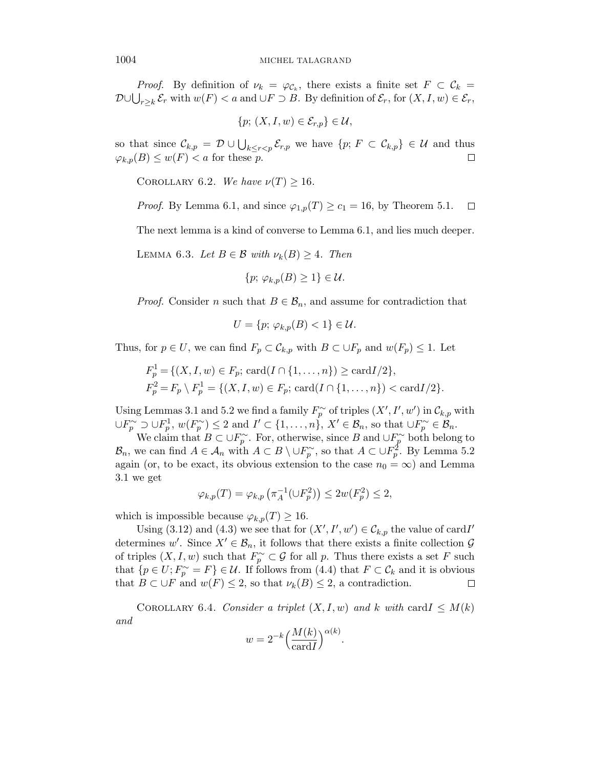*Proof.* By definition of  $\nu_k = \varphi_{\mathcal{C}_k}$ , there exists a finite set  $F \subset \mathcal{C}_k =$  $\mathcal{D} \cup \bigcup_{r \geq k} \mathcal{E}_r$  with  $w(F) < a$  and  $\cup F \supset B$ . By definition of  $\mathcal{E}_r$ , for  $(X, I, w) \in \mathcal{E}_r$ ,

$$
\{p; (X, I, w) \in \mathcal{E}_{r,p}\} \in \mathcal{U},
$$

so that since  $\mathcal{C}_{k,p} = \mathcal{D} \cup \bigcup_{k \leq r < p} \mathcal{E}_{r,p}$  we have  $\{p; F \subset \mathcal{C}_{k,p}\} \in \mathcal{U}$  and thus  $\varphi_{k,p}(B) \leq w(F) < a$  for these p.  $\Box$ 

COROLLARY 6.2. We have  $\nu(T) \geq 16$ .

*Proof.* By Lemma 6.1, and since  $\varphi_{1,p}(T) \geq c_1 = 16$ , by Theorem 5.1.  $\Box$ 

The next lemma is a kind of converse to Lemma 6.1, and lies much deeper.

LEMMA 6.3. Let  $B \in \mathcal{B}$  with  $\nu_k(B) \geq 4$ . Then

$$
\{p; \varphi_{k,p}(B) \ge 1\} \in \mathcal{U}.
$$

*Proof.* Consider n such that  $B \in \mathcal{B}_n$ , and assume for contradiction that

$$
U = \{p; \varphi_{k,p}(B) < 1\} \in \mathcal{U}.
$$

Thus, for  $p \in U$ , we can find  $F_p \subset \mathcal{C}_{k,p}$  with  $B \subset \bigcup F_p$  and  $w(F_p) \leq 1$ . Let

$$
F_p^1 = \{(X, I, w) \in F_p; \text{ card}(I \cap \{1, ..., n\}) \ge \text{card}I/2\},
$$
  

$$
F_p^2 = F_p \setminus F_p^1 = \{(X, I, w) \in F_p; \text{ card}(I \cap \{1, ..., n\}) < \text{card}I/2\}.
$$

Using Lemmas 3.1 and 5.2 we find a family  $F_p^{\sim}$  of triples  $(X', I', w')$  in  $\mathcal{C}_{k,p}$  with  $\cup F_p^{\sim} \supset \cup F_p^1$ ,  $w(F_p^{\sim}) \leq 2$  and  $I' \subset \{1, \ldots, n\}$ ,  $X' \in \mathcal{B}_n$ , so that  $\cup F_p^{\sim} \in \mathcal{B}_n$ .

We claim that  $B \subset \cup F_p^{\sim}$ . For, otherwise, since B and  $\cup F_p^{\sim}$  both belong to  $\mathcal{B}_n$ , we can find  $A \in \mathcal{A}_n$  with  $A \subset B \setminus \cup F_p^{\sim}$ , so that  $A \subset \cup F_p^2$ . By Lemma 5.2 again (or, to be exact, its obvious extension to the case  $n_0 = \infty$ ) and Lemma 3.1 we get

$$
\varphi_{k,p}(T)=\varphi_{k,p}\left(\pi_A^{-1}(\cup F_p^2)\right)\leq 2w(F_p^2)\leq 2,
$$

which is impossible because  $\varphi_{k,p}(T) \geq 16$ .

Using (3.12) and (4.3) we see that for  $(X', I', w') \in \mathcal{C}_{k,p}$  the value of card I' determines w'. Since  $X' \in \mathcal{B}_n$ , it follows that there exists a finite collection  $\mathcal{G}$ of triples  $(X, I, w)$  such that  $F_p^{\sim} \subset \mathcal{G}$  for all p. Thus there exists a set F such that  $\{p \in U; F_p^{\sim} = F\} \in \mathcal{U}$ . If follows from (4.4) that  $F \subset \mathcal{C}_k$  and it is obvious that  $B \subset \bigcup F$  and  $w(F) \leq 2$ , so that  $\nu_k(B) \leq 2$ , a contradiction.  $\Box$ 

COROLLARY 6.4. Consider a triplet  $(X, I, w)$  and k with card  $I \leq M(k)$ and

$$
w = 2^{-k} \left(\frac{M(k)}{\operatorname{card} I}\right)^{\alpha(k)}.
$$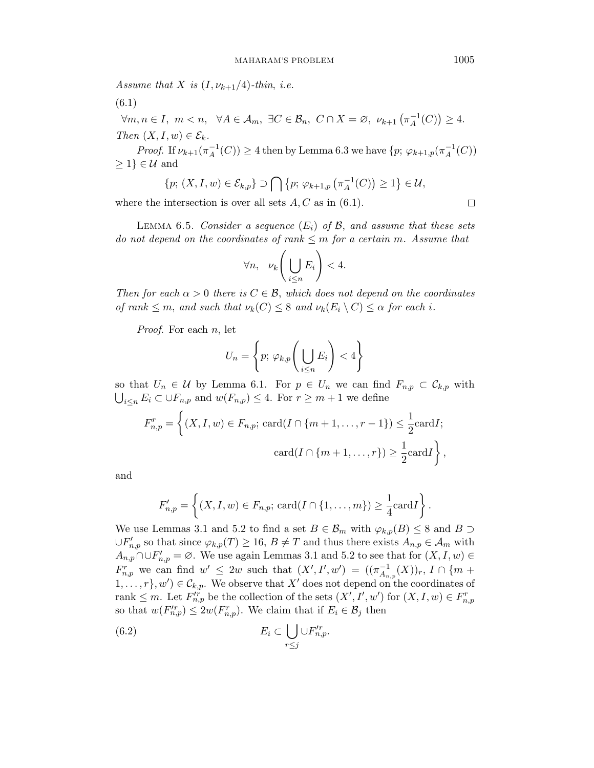Assume that X is  $(I, \nu_{k+1}/4)$ -thin, i.e.

(6.1)

$$
\forall m, n \in I, m < n, \quad \forall A \in \mathcal{A}_m, \exists C \in \mathcal{B}_n, C \cap X = \emptyset, \nu_{k+1} \left( \pi_A^{-1}(C) \right) \ge 4.
$$
\n
$$
\text{Then } (X, I, w) \in \mathcal{E}_k.
$$

*Proof.* If  $\nu_{k+1}(\pi_A^{-1})$  $A^{-1}(C)$ )  $\geq 4$  then by Lemma 6.3 we have  $\{p; \varphi_{k+1,p}(\pi_A^{-1})\}$  $_{A}^{-1}(C)$  $\geq 1$   $\in \mathcal{U}$  and

$$
\{p; (X, I, w) \in \mathcal{E}_{k,p}\} \supset \bigcap \{p; \varphi_{k+1,p}(\pi_A^{-1}(C)) \geq 1\} \in \mathcal{U},
$$

where the intersection is over all sets  $A, C$  as in (6.1).

 $\Box$ 

LEMMA 6.5. Consider a sequence  $(E_i)$  of B, and assume that these sets do not depend on the coordinates of rank  $\leq m$  for a certain m. Assume that

$$
\forall n, \quad \nu_k \left( \bigcup_{i \leq n} E_i \right) < 4.
$$

Then for each  $\alpha > 0$  there is  $C \in \mathcal{B}$ , which does not depend on the coordinates of rank  $\leq m$ , and such that  $\nu_k(C) \leq 8$  and  $\nu_k(E_i \setminus C) \leq \alpha$  for each i.

Proof. For each n, let

$$
U_n = \left\{ p; \, \varphi_{k,p} \bigg( \bigcup_{i \le n} E_i \bigg) < 4 \right\}
$$

so that  $U_n \in \mathcal{U}$  by Lemma 6.1. For  $p \in U_n$  we can find  $F_{n,p} \subset \mathcal{C}_{k,p}$  with  $\bigcup_{i\leq n} E_i \subset \cup F_{n,p}$  and  $w(F_{n,p}) \leq 4$ . For  $r \geq m+1$  we define

$$
F_{n,p}^r = \left\{ (X, I, w) \in F_{n,p}; \, \text{card}(I \cap \{m+1, \ldots, r-1\}) \le \frac{1}{2} \text{card} I; \\
\text{card}(I \cap \{m+1, \ldots, r\}) \ge \frac{1}{2} \text{card} I \right\},
$$

and

$$
F'_{n,p} = \left\{ (X, I, w) \in F_{n,p}; \, \text{card}(I \cap \{1, \ldots, m\}) \geq \frac{1}{4} \text{card} I \right\}.
$$

We use Lemmas 3.1 and 5.2 to find a set  $B \in \mathcal{B}_m$  with  $\varphi_{k,p}(B) \leq 8$  and  $B \supset$  $\cup F'_{n,p}$  so that since  $\varphi_{k,p}(T) \geq 16, B \neq T$  and thus there exists  $A_{n,p} \in \mathcal{A}_m$  with  $A_{n,p}$  ∩∪ $F'_{n,p} = \emptyset$ . We use again Lemmas 3.1 and 5.2 to see that for  $(X, I, w) \in$  $F_{n,p}^r$  we can find  $w' \leq 2w$  such that  $(X', I', w') = ((\pi_{A_n}^{-1})^r)^r$  $\overline{A}_{n,p}^{-1}(X))_{r},$   $I\cap \{m+1\}$  $1, \ldots, r$ ,  $w'$ )  $\in \mathcal{C}_{k,p}$ . We observe that X' does not depend on the coordinates of rank  $\leq m$ . Let  $F_{n,p}^{r}$  be the collection of the sets  $(X', I', w')$  for  $(X, I, w) \in F_{n,p}^{r}$ so that  $w(F_{n,p}') \leq 2w(F_{n,p}^r)$ . We claim that if  $E_i \in \mathcal{B}_j$  then

(6.2) 
$$
E_i \subset \bigcup_{r \leq j} \cup F'^r_{n,p}.
$$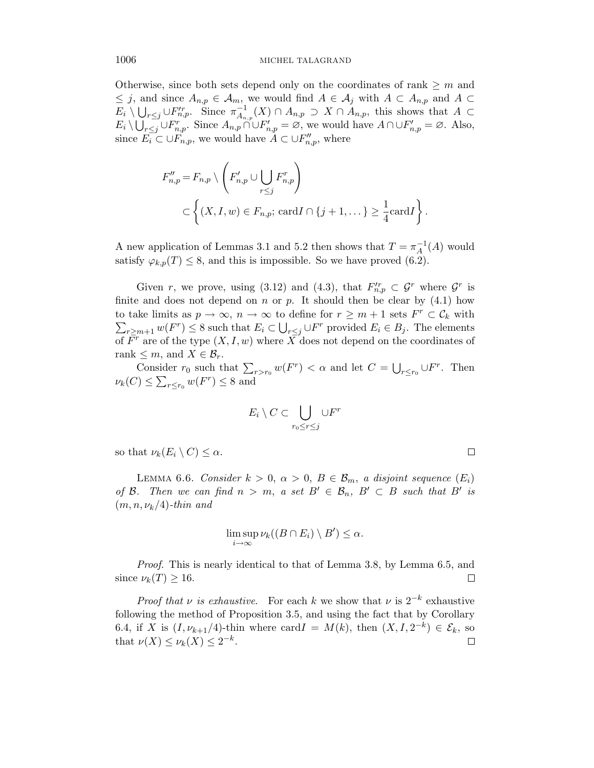Otherwise, since both sets depend only on the coordinates of rank  $\geq m$  and  $\leq j$ , and since  $A_{n,p} \in \mathcal{A}_m$ , we would find  $A \in \mathcal{A}_j$  with  $A \subset A_{n,p}$  and  $A \subset$  $E_i \setminus \bigcup_{r \leq j} \cup F'^{r}_{n,p}$ . Since  $\pi_{A_n}^{-1}$  $\overline{A}_{n,p}^{-1}(X) \cap A_{n,p} \supset X \cap A_{n,p}$ , this shows that  $A \subset$  $E_i \setminus \bigcup_{r \leq j} \bigcup_{r \leq n,p} F_{n,p}^r$ . Since  $A_{n,p} \cap \bigcup F'_{n,p} = \varnothing$ , we would have  $A \cap \bigcup F'_{n,p} = \varnothing$ . Also, since  $\overrightarrow{E_i} \subset \cup \overrightarrow{F}_{n,p}$ , we would have  $A \subset \cup \overrightarrow{F}_{n,p}$ , where

$$
F''_{n,p} = F_{n,p} \setminus \left( F'_{n,p} \cup \bigcup_{r \leq j} F^r_{n,p} \right)
$$
  

$$
\subset \left\{ (X, I, w) \in F_{n,p}; \text{ card } I \cap \{j+1, \dots\} \geq \frac{1}{4} \text{ card } I \right\}.
$$

A new application of Lemmas 3.1 and 5.2 then shows that  $T = \pi_A^{-1}$  $_A^{-1}(A)$  would satisfy  $\varphi_{k,p}(T) \leq 8$ , and this is impossible. So we have proved (6.2).

Given r, we prove, using (3.12) and (4.3), that  $F_{n,p}^{\prime r} \subset \mathcal{G}^r$  where  $\mathcal{G}^r$  is finite and does not depend on  $n$  or  $p$ . It should then be clear by  $(4.1)$  how to take limits as  $p \to \infty$ ,  $n \to \infty$  to define for  $r \geq m+1$  sets  $F^r \subset \mathcal{C}_k$  with  $\sum_{r\geq m+1} w(F^r) \leq 8$  such that  $E_i \subset \bigcup_{r\leq j} \cup F^r$  provided  $E_i \in B_j$ . The elements of  $\overline{F}^r$  are of the type  $(X, I, w)$  where  $\overline{X}$  does not depend on the coordinates of rank  $\leq m$ , and  $X \in \mathcal{B}_r$ .

Consider  $r_0$  such that  $\sum_{r>r_0} w(F^r) < \alpha$  and let  $C = \bigcup_{r \le r_0} \bigcup F^r$ . Then  $\nu_k(C) \leq \sum_{r \leq r_0} w(F^r) \leq 8$  and

$$
E_i \setminus C \subset \bigcup_{r_0 \le r \le j} \cup F^r
$$

so that  $\nu_k(E_i \setminus C) \leq \alpha$ .

LEMMA 6.6. Consider  $k > 0$ ,  $\alpha > 0$ ,  $B \in \mathcal{B}_m$ , a disjoint sequence  $(E_i)$ of B. Then we can find  $n > m$ , a set  $B' \in \mathcal{B}_n$ ,  $B' \subset B$  such that B' is  $(m, n, \nu_k/4)$ -thin and

$$
\limsup_{i\to\infty}\nu_k((B\cap E_i)\setminus B')\leq\alpha.
$$

Proof. This is nearly identical to that of Lemma 3.8, by Lemma 6.5, and since  $\nu_k(T) \geq 16$ .  $\Box$ 

*Proof that v is exhaustive.* For each k we show that v is  $2^{-k}$  exhaustive following the method of Proposition 3.5, and using the fact that by Corollary 6.4, if X is  $(I, \nu_{k+1}/4)$ -thin where card  $I = M(k)$ , then  $(X, I, 2^{-k}) \in \mathcal{E}_k$ , so that  $\nu(X) \leq \nu_k(X) \leq 2^{-k}$ .  $\Box$ 

$$
\Box
$$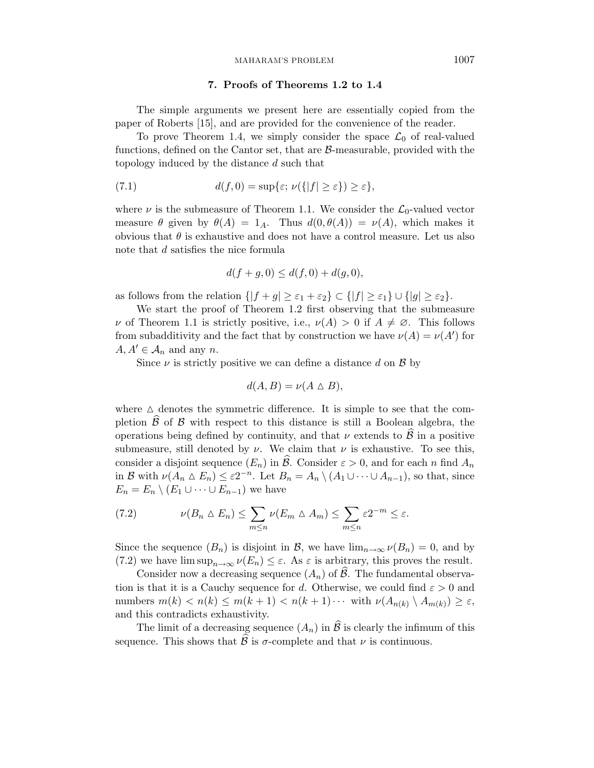## 7. Proofs of Theorems 1.2 to 1.4

The simple arguments we present here are essentially copied from the paper of Roberts [15], and are provided for the convenience of the reader.

To prove Theorem 1.4, we simply consider the space  $\mathcal{L}_0$  of real-valued functions, defined on the Cantor set, that are  $\beta$ -measurable, provided with the topology induced by the distance d such that

(7.1) 
$$
d(f,0) = \sup\{\varepsilon;\,\nu(\{|f| \geq \varepsilon\}) \geq \varepsilon\},\,
$$

where  $\nu$  is the submeasure of Theorem 1.1. We consider the  $\mathcal{L}_0$ -valued vector measure  $\theta$  given by  $\theta(A) = 1_A$ . Thus  $d(0, \theta(A)) = \nu(A)$ , which makes it obvious that  $\theta$  is exhaustive and does not have a control measure. Let us also note that d satisfies the nice formula

$$
d(f + g, 0) \le d(f, 0) + d(g, 0),
$$

as follows from the relation  $\{|f + g| \geq \varepsilon_1 + \varepsilon_2\} \subset \{|f| \geq \varepsilon_1\} \cup \{|g| \geq \varepsilon_2\}.$ 

We start the proof of Theorem 1.2 first observing that the submeasure v of Theorem 1.1 is strictly positive, i.e.,  $\nu(A) > 0$  if  $A \neq \emptyset$ . This follows from subadditivity and the fact that by construction we have  $\nu(A) = \nu(A')$  for  $A, A' \in \mathcal{A}_n$  and any n.

Since  $\nu$  is strictly positive we can define a distance d on  $\beta$  by

$$
d(A, B) = \nu(A \triangle B),
$$

where  $\Delta$  denotes the symmetric difference. It is simple to see that the completion  $\beta$  of  $\beta$  with respect to this distance is still a Boolean algebra, the operations being defined by continuity, and that  $\nu$  extends to  $\hat{\mathcal{B}}$  in a positive submeasure, still denoted by  $\nu$ . We claim that  $\nu$  is exhaustive. To see this, consider a disjoint sequence  $(E_n)$  in B. Consider  $\varepsilon > 0$ , and for each n find  $A_n$ in B with  $\nu(A_n \triangle E_n) \leq \varepsilon 2^{-n}$ . Let  $B_n = A_n \setminus (A_1 \cup \cdots \cup A_{n-1})$ , so that, since  $E_n = E_n \setminus (E_1 \cup \cdots \cup E_{n-1})$  we have

(7.2) 
$$
\nu(B_n \triangle E_n) \leq \sum_{m \leq n} \nu(E_m \triangle A_m) \leq \sum_{m \leq n} \varepsilon 2^{-m} \leq \varepsilon.
$$

Since the sequence  $(B_n)$  is disjoint in B, we have  $\lim_{n\to\infty} \nu(B_n) = 0$ , and by (7.2) we have  $\limsup_{n\to\infty}\nu(E_n)\leq\varepsilon$ . As  $\varepsilon$  is arbitrary, this proves the result.

Consider now a decreasing sequence  $(A_n)$  of  $B$ . The fundamental observation is that it is a Cauchy sequence for d. Otherwise, we could find  $\varepsilon > 0$  and numbers  $m(k) < n(k) \le m(k+1) < n(k+1) \cdots$  with  $\nu(A_{n(k)} \setminus A_{m(k)}) \ge \varepsilon$ , and this contradicts exhaustivity.

The limit of a decreasing sequence  $(A_n)$  in  $\hat{\mathcal{B}}$  is clearly the infimum of this sequence. This shows that  $\widehat{\mathcal{B}}$  is  $\sigma$ -complete and that  $\nu$  is continuous.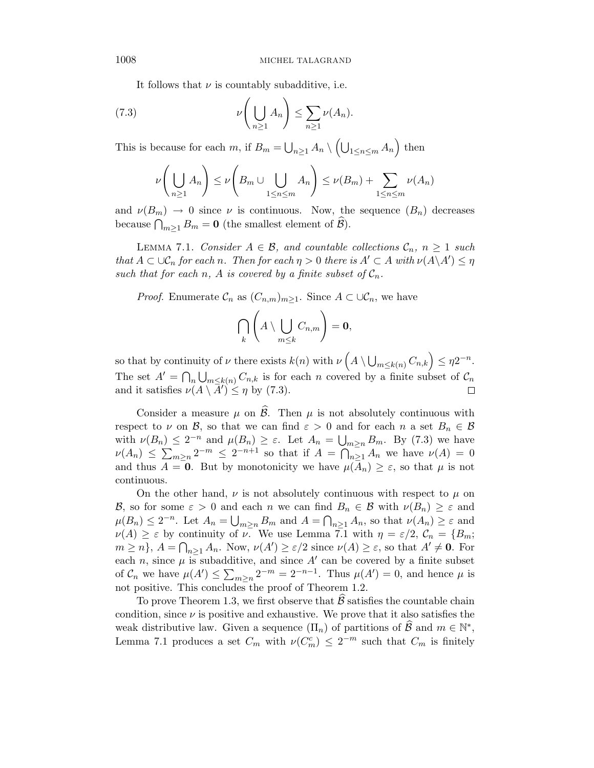It follows that  $\nu$  is countably subadditive, i.e.

(7.3) 
$$
\nu\left(\bigcup_{n\geq 1} A_n\right) \leq \sum_{n\geq 1} \nu(A_n).
$$

This is because for each m, if  $B_m = \bigcup_{n \geq 1} A_n \setminus \left(\bigcup_{1 \leq n \leq m} A_n\right)$  then

$$
\nu\left(\bigcup_{n\geq 1} A_n\right) \leq \nu\left(B_m \cup \bigcup_{1\leq n\leq m} A_n\right) \leq \nu(B_m) + \sum_{1\leq n\leq m} \nu(A_n)
$$

and  $\nu(B_m) \to 0$  since  $\nu$  is continuous. Now, the sequence  $(B_n)$  decreases because  $\bigcap_{m\geq 1} B_m = \mathbf{0}$  (the smallest element of  $\mathcal{B}$ ).

LEMMA 7.1. Consider  $A \in \mathcal{B}$ , and countable collections  $\mathcal{C}_n$ ,  $n \geq 1$  such that  $A \subset \cup \mathcal{C}_n$  for each n. Then for each  $\eta > 0$  there is  $A' \subset A$  with  $\nu(A \setminus A') \leq \eta$ such that for each n, A is covered by a finite subset of  $C_n$ .

*Proof.* Enumerate  $\mathcal{C}_n$  as  $(C_{n,m})_{m>1}$ . Since  $A \subset \cup \mathcal{C}_n$ , we have

$$
\bigcap_{k} \left( A \setminus \bigcup_{m \leq k} C_{n,m} \right) = \mathbf{0},
$$

so that by continuity of  $\nu$  there exists  $k(n)$  with  $\nu\left(A \setminus \bigcup_{m \leq k(n)} C_{n,k}\right) \leq \eta 2^{-n}$ . The set  $A' = \bigcap_n \bigcup_{m \leq k(n)} C_{n,k}$  is for each n covered by a finite subset of  $C_n$ and it satisfies  $\nu(A \setminus \overline{A}') \leq \eta$  by (7.3).  $\Box$ 

Consider a measure  $\mu$  on  $\widehat{\mathcal{B}}$ . Then  $\mu$  is not absolutely continuous with respect to  $\nu$  on  $\mathcal{B}$ , so that we can find  $\varepsilon > 0$  and for each n a set  $B_n \in \mathcal{B}$ with  $\nu(B_n) \leq 2^{-n}$  and  $\mu(B_n) \geq \varepsilon$ . Let  $A_n = \bigcup_{m \geq n} B_m$ . By (7.3) we have  $\nu(A_n) \leq \sum_{m\geq n} 2^{-m} \leq 2^{-n+1}$  so that if  $A = \bigcap_{n\geq 1} A_n$  we have  $\nu(A) = 0$ and thus  $A = 0$ . But by monotonicity we have  $\mu(A_n) \geq \varepsilon$ , so that  $\mu$  is not continuous.

On the other hand,  $\nu$  is not absolutely continuous with respect to  $\mu$  on B, so for some  $\varepsilon > 0$  and each n we can find  $B_n \in \mathcal{B}$  with  $\nu(B_n) \geq \varepsilon$  and  $\mu(B_n) \leq 2^{-n}$ . Let  $A_n = \bigcup_{m \geq n} B_m$  and  $A = \bigcap_{n \geq 1} A_n$ , so that  $\nu(A_n) \geq \varepsilon$  and  $\nu(A) \geq \varepsilon$  by continuity of  $\nu$ . We use Lemma 7.1 with  $\eta = \varepsilon/2$ ,  $C_n = \{B_m;$  $m \geq n$ ,  $A = \bigcap_{n \geq 1} A_n$ . Now,  $\nu(A') \geq \varepsilon/2$  since  $\nu(A) \geq \varepsilon$ , so that  $A' \neq \mathbf{0}$ . For each n, since  $\mu$  is subadditive, and since A' can be covered by a finite subset of  $C_n$  we have  $\mu(A') \leq \sum_{m \geq n} 2^{-m} = 2^{-n-1}$ . Thus  $\mu(A') = 0$ , and hence  $\mu$  is not positive. This concludes the proof of Theorem 1.2.

To prove Theorem 1.3, we first observe that  $\beta$  satisfies the countable chain condition, since  $\nu$  is positive and exhaustive. We prove that it also satisfies the weak distributive law. Given a sequence  $(\Pi_n)$  of partitions of  $\widehat{\mathcal{B}}$  and  $m \in \mathbb{N}^*$ , Lemma 7.1 produces a set  $C_m$  with  $\nu(C_m^c) \leq 2^{-m}$  such that  $C_m$  is finitely